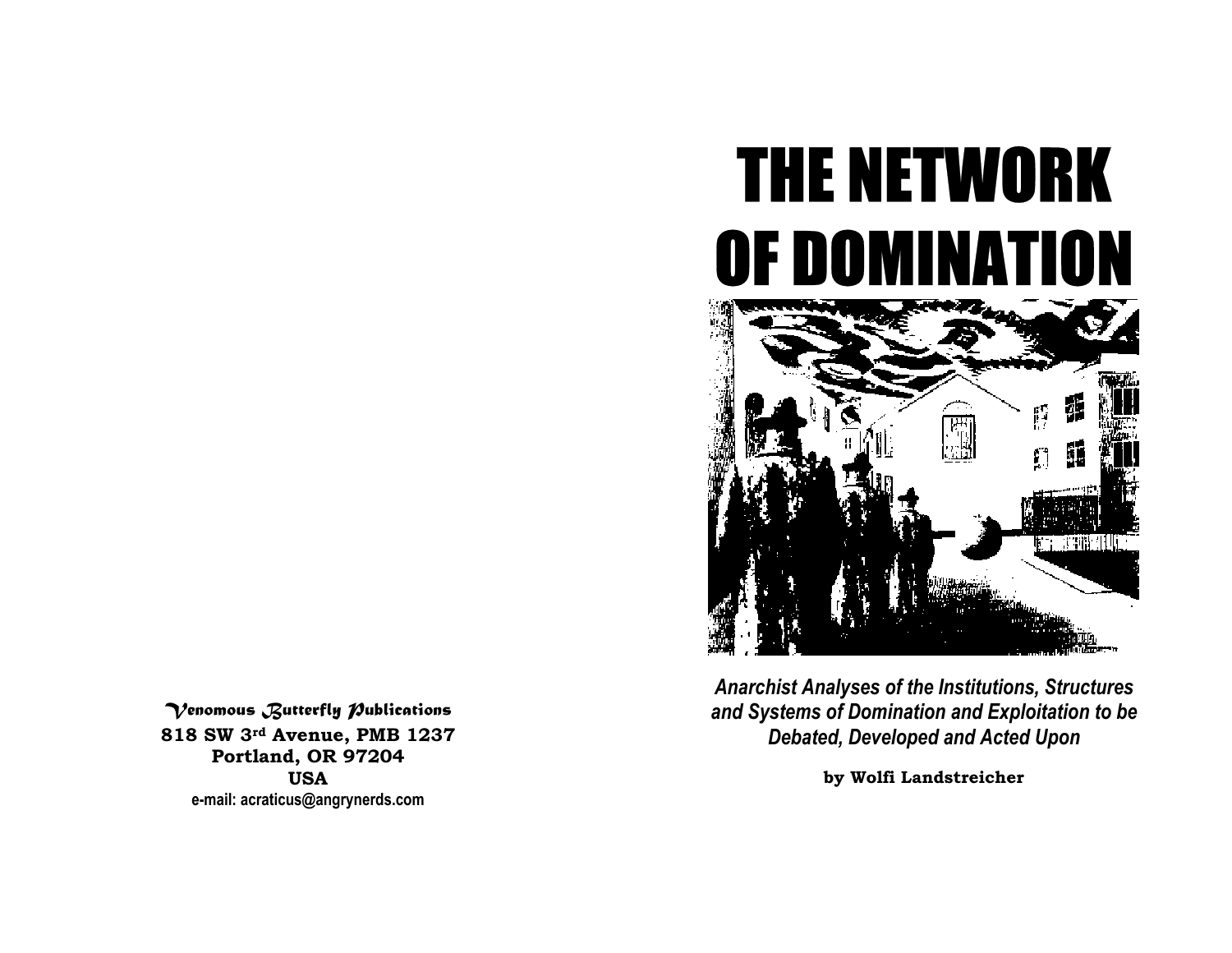

*Anarchist Analyses of the Institutions, Structures and Systems of Domination and Exploitation to be Debated, Developed and Acted Upon* 

**by Wolfi Landstreicher** 

*Venomous Butterfly Publications*  **818 SW 3rd Avenue, PMB 1237 Portland, OR 97204 USA e-mail: acraticus@angrynerds.com**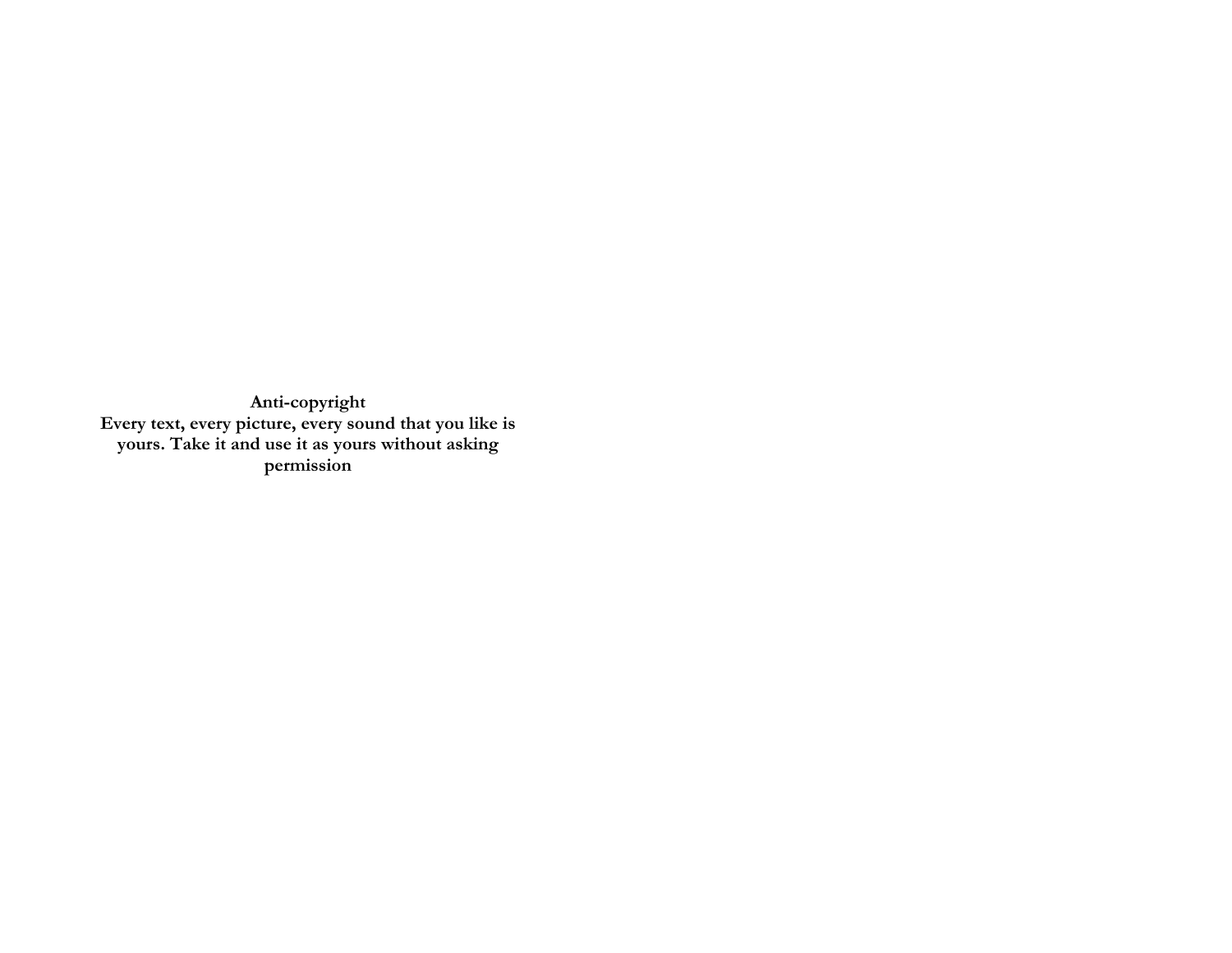**Anti-copyright Every text, every picture, every sound that you like is yours. Take it and use it as yours without asking permission**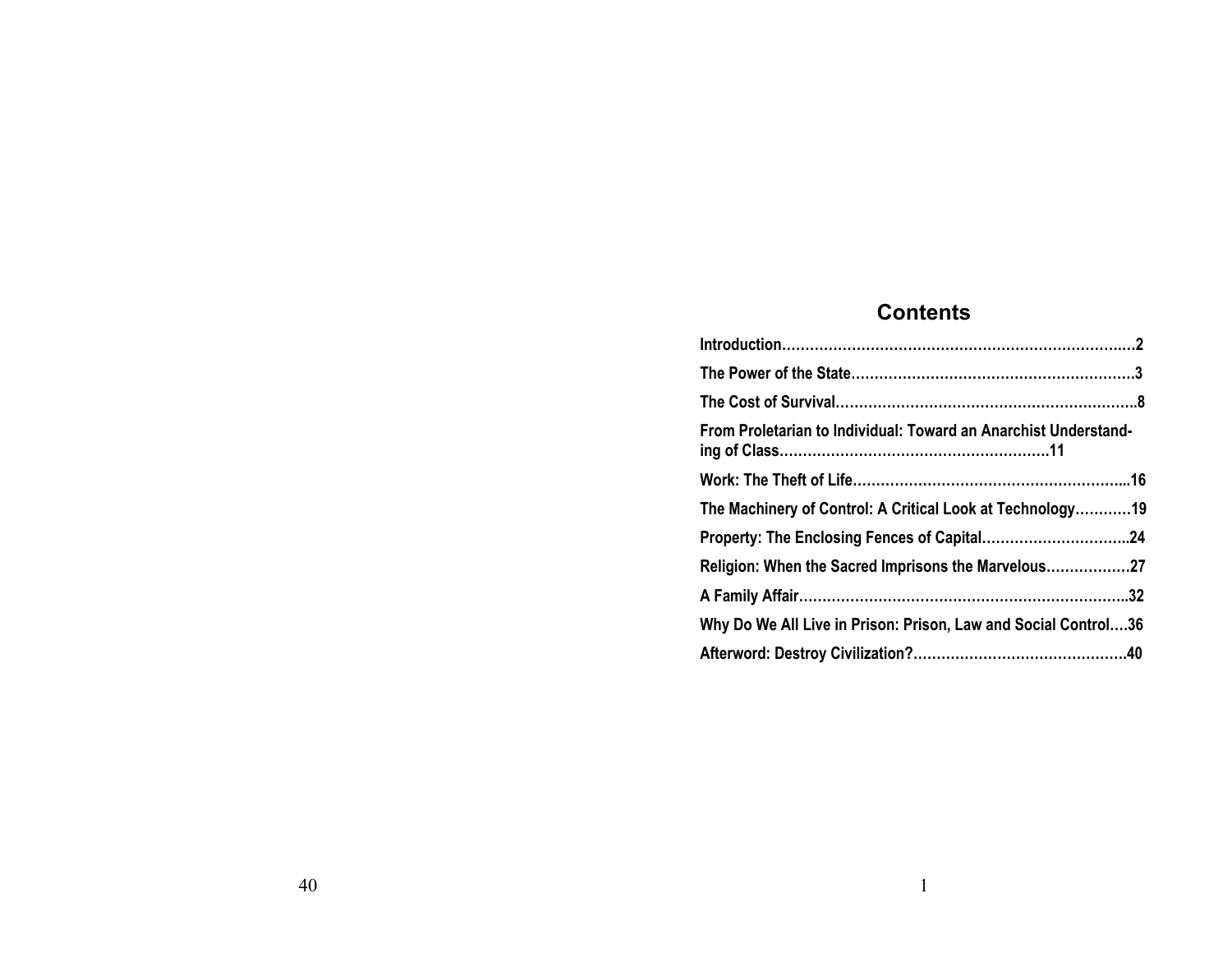#### **Contents**

| From Proletarian to Individual: Toward an Anarchist Understand- |  |
|-----------------------------------------------------------------|--|
|                                                                 |  |
| The Machinery of Control: A Critical Look at Technology19       |  |
|                                                                 |  |
| Religion: When the Sacred Imprisons the Marvelous27             |  |
|                                                                 |  |
| Why Do We All Live in Prison: Prison, Law and Social Control36  |  |
|                                                                 |  |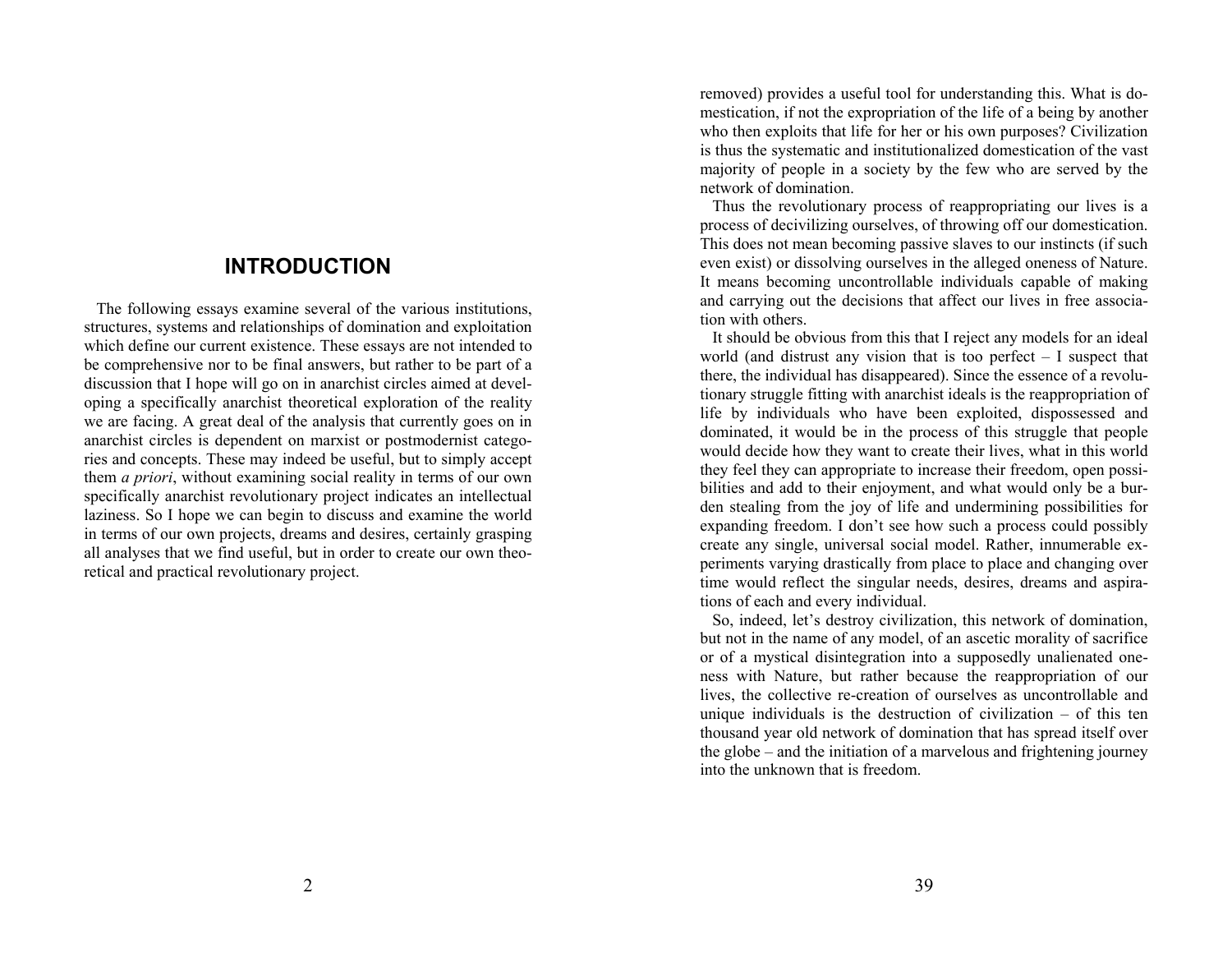### **INTRODUCTION**

 The following essays examine several of the various institutions, structures, systems and relationships of domination and exploitation which define our current existence. These essays are not intended to be comprehensive nor to be final answers, but rather to be part of a discussion that I hope will go on in anarchist circles aimed at developing a specifically anarchist theoretical exploration of the reality we are facing. A great deal of the analysis that currently goes on in anarchist circles is dependent on marxist or postmodernist categories and concepts. These may indeed be useful, but to simply accept them *a priori*, without examining social reality in terms of our own specifically anarchist revolutionary project indicates an intellectual laziness. So I hope we can begin to discuss and examine the world in terms of our own projects, dreams and desires, certainly grasping all analyses that we find useful, but in order to create our own theoretical and practical revolutionary project.

removed) provides a useful tool for understanding this. What is domestication, if not the expropriation of the life of a being by another who then exploits that life for her or his own purposes? Civilization is thus the systematic and institutionalized domestication of the vast majority of people in a society by the few who are served by the network of domination.

 Thus the revolutionary process of reappropriating our lives is a process of decivilizing ourselves, of throwing off our domestication. This does not mean becoming passive slaves to our instincts (if such even exist) or dissolving ourselves in the alleged oneness of Nature. It means becoming uncontrollable individuals capable of making and carrying out the decisions that affect our lives in free association with others.

 It should be obvious from this that I reject any models for an ideal world (and distrust any vision that is too perfect – I suspect that there, the individual has disappeared). Since the essence of a revolutionary struggle fitting with anarchist ideals is the reappropriation of life by individuals who have been exploited, dispossessed and dominated, it would be in the process of this struggle that people would decide how they want to create their lives, what in this world they feel they can appropriate to increase their freedom, open possibilities and add to their enjoyment, and what would only be a burden stealing from the joy of life and undermining possibilities for expanding freedom. I don't see how such a process could possibly create any single, universal social model. Rather, innumerable experiments varying drastically from place to place and changing over time would reflect the singular needs, desires, dreams and aspirations of each and every individual.

 So, indeed, let's destroy civilization, this network of domination, but not in the name of any model, of an ascetic morality of sacrifice or of a mystical disintegration into a supposedly unalienated oneness with Nature, but rather because the reappropriation of our lives, the collective re-creation of ourselves as uncontrollable and unique individuals is the destruction of civilization – of this ten thousand year old network of domination that has spread itself over the globe – and the initiation of a marvelous and frightening journey into the unknown that is freedom.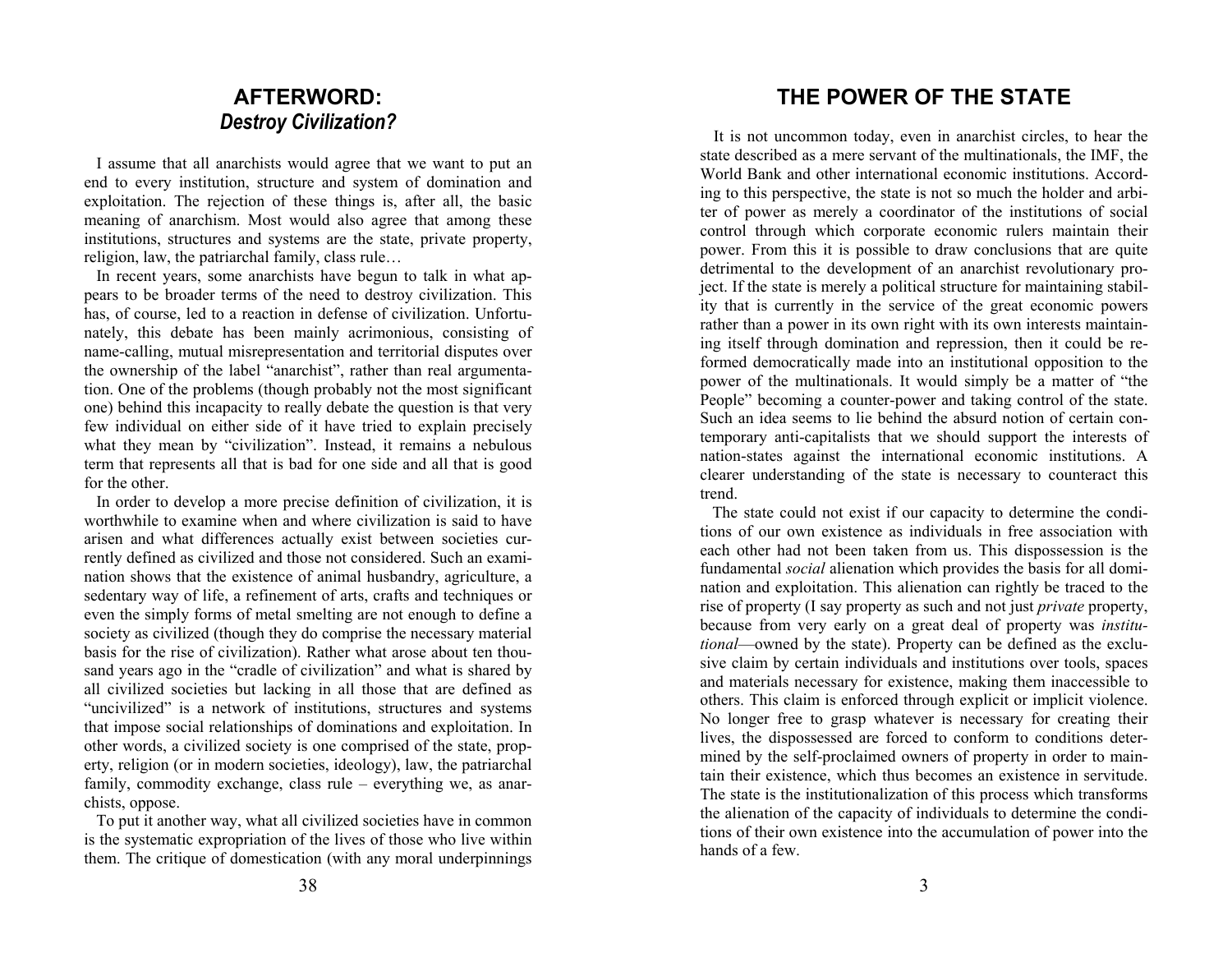## **AFTERWORD:** *Destroy Civilization?*

 I assume that all anarchists would agree that we want to put an end to every institution, structure and system of domination and exploitation. The rejection of these things is, after all, the basic meaning of anarchism. Most would also agree that among these institutions, structures and systems are the state, private property, religion, law, the patriarchal family, class rule…

 In recent years, some anarchists have begun to talk in what appears to be broader terms of the need to destroy civilization. This has, of course, led to a reaction in defense of civilization. Unfortunately, this debate has been mainly acrimonious, consisting of name-calling, mutual misrepresentation and territorial disputes over the ownership of the label "anarchist", rather than real argumentation. One of the problems (though probably not the most significant one) behind this incapacity to really debate the question is that very few individual on either side of it have tried to explain precisely what they mean by "civilization". Instead, it remains a nebulous term that represents all that is bad for one side and all that is good for the other.

 In order to develop a more precise definition of civilization, it is worthwhile to examine when and where civilization is said to have arisen and what differences actually exist between societies currently defined as civilized and those not considered. Such an examination shows that the existence of animal husbandry, agriculture, a sedentary way of life, a refinement of arts, crafts and techniques or even the simply forms of metal smelting are not enough to define a society as civilized (though they do comprise the necessary material basis for the rise of civilization). Rather what arose about ten thousand years ago in the "cradle of civilization" and what is shared by all civilized societies but lacking in all those that are defined as "uncivilized" is a network of institutions, structures and systems that impose social relationships of dominations and exploitation. In other words, a civilized society is one comprised of the state, property, religion (or in modern societies, ideology), law, the patriarchal family, commodity exchange, class rule – everything we, as anarchists, oppose.

 To put it another way, what all civilized societies have in common is the systematic expropriation of the lives of those who live within them. The critique of domestication (with any moral underpinnings

# **THE POWER OF THE STATE**

It is not uncommon today, even in anarchist circles, to hear the state described as a mere servant of the multinationals, the IMF, the World Bank and other international economic institutions. According to this perspective, the state is not so much the holder and arbiter of power as merely a coordinator of the institutions of social control through which corporate economic rulers maintain their power. From this it is possible to draw conclusions that are quite detrimental to the development of an anarchist revolutionary project. If the state is merely a political structure for maintaining stability that is currently in the service of the great economic powers rather than a power in its own right with its own interests maintaining itself through domination and repression, then it could be reformed democratically made into an institutional opposition to the power of the multinationals. It would simply be a matter of "the People" becoming a counter-power and taking control of the state. Such an idea seems to lie behind the absurd notion of certain contemporary anti-capitalists that we should support the interests of nation-states against the international economic institutions. A clearer understanding of the state is necessary to counteract this trend.

 The state could not exist if our capacity to determine the conditions of our own existence as individuals in free association with each other had not been taken from us. This dispossession is the fundamental *social* alienation which provides the basis for all domination and exploitation. This alienation can rightly be traced to the rise of property (I say property as such and not just *private* property, because from very early on a great deal of property was *institutional*—owned by the state). Property can be defined as the exclusive claim by certain individuals and institutions over tools, spaces and materials necessary for existence, making them inaccessible to others. This claim is enforced through explicit or implicit violence. No longer free to grasp whatever is necessary for creating their lives, the dispossessed are forced to conform to conditions determined by the self-proclaimed owners of property in order to maintain their existence, which thus becomes an existence in servitude. The state is the institutionalization of this process which transforms the alienation of the capacity of individuals to determine the conditions of their own existence into the accumulation of power into the hands of a few.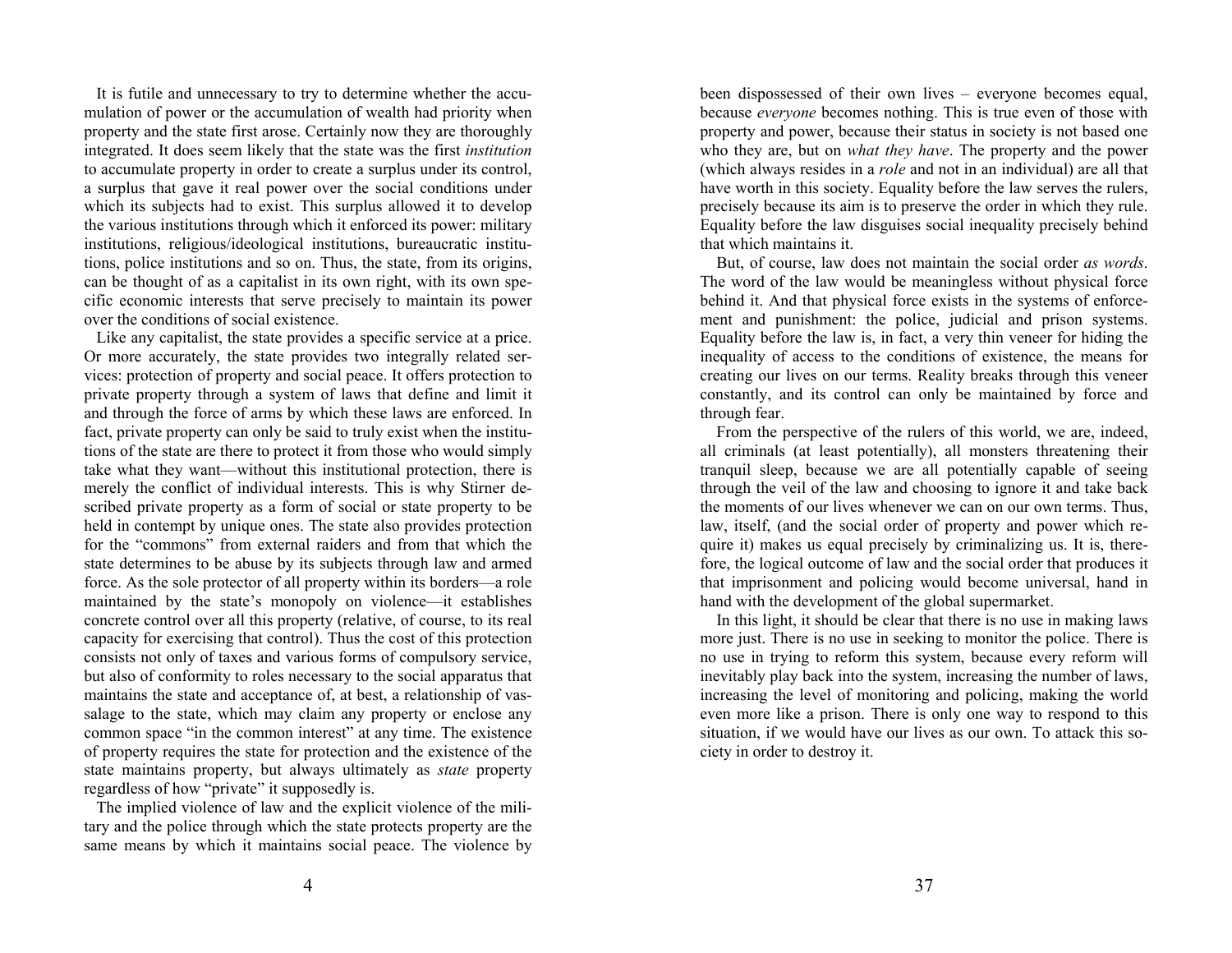It is futile and unnecessary to try to determine whether the accumulation of power or the accumulation of wealth had priority when property and the state first arose. Certainly now they are thoroughly integrated. It does seem likely that the state was the first *institution* to accumulate property in order to create a surplus under its control, a surplus that gave it real power over the social conditions under which its subjects had to exist. This surplus allowed it to develop the various institutions through which it enforced its power: military institutions, religious/ideological institutions, bureaucratic institutions, police institutions and so on. Thus, the state, from its origins, can be thought of as a capitalist in its own right, with its own specific economic interests that serve precisely to maintain its power over the conditions of social existence.

 Like any capitalist, the state provides a specific service at a price. Or more accurately, the state provides two integrally related services: protection of property and social peace. It offers protection to private property through a system of laws that define and limit it and through the force of arms by which these laws are enforced. In fact, private property can only be said to truly exist when the institutions of the state are there to protect it from those who would simply take what they want—without this institutional protection, there is merely the conflict of individual interests. This is why Stirner described private property as a form of social or state property to be held in contempt by unique ones. The state also provides protection for the "commons" from external raiders and from that which the state determines to be abuse by its subjects through law and armed force. As the sole protector of all property within its borders—a role maintained by the state's monopoly on violence—it establishes concrete control over all this property (relative, of course, to its real capacity for exercising that control). Thus the cost of this protection consists not only of taxes and various forms of compulsory service, but also of conformity to roles necessary to the social apparatus that maintains the state and acceptance of, at best, a relationship of vassalage to the state, which may claim any property or enclose any common space "in the common interest" at any time. The existence of property requires the state for protection and the existence of the state maintains property, but always ultimately as *state* property regardless of how "private" it supposedly is.

 The implied violence of law and the explicit violence of the military and the police through which the state protects property are the same means by which it maintains social peace. The violence by

been dispossessed of their own lives – everyone becomes equal, because *everyone* becomes nothing. This is true even of those with property and power, because their status in society is not based one who they are, but on *what they have*. The property and the power (which always resides in a *role* and not in an individual) are all that have worth in this society. Equality before the law serves the rulers, precisely because its aim is to preserve the order in which they rule. Equality before the law disguises social inequality precisely behind that which maintains it.

 But, of course, law does not maintain the social order *as words*. The word of the law would be meaningless without physical force behind it. And that physical force exists in the systems of enforcement and punishment: the police, judicial and prison systems. Equality before the law is, in fact, a very thin veneer for hiding the inequality of access to the conditions of existence, the means for creating our lives on our terms. Reality breaks through this veneer constantly, and its control can only be maintained by force and through fear.

 From the perspective of the rulers of this world, we are, indeed, all criminals (at least potentially), all monsters threatening their tranquil sleep, because we are all potentially capable of seeing through the veil of the law and choosing to ignore it and take back the moments of our lives whenever we can on our own terms. Thus, law, itself, (and the social order of property and power which require it) makes us equal precisely by criminalizing us. It is, therefore, the logical outcome of law and the social order that produces it that imprisonment and policing would become universal, hand in hand with the development of the global supermarket.

 In this light, it should be clear that there is no use in making laws more just. There is no use in seeking to monitor the police. There is no use in trying to reform this system, because every reform will inevitably play back into the system, increasing the number of laws, increasing the level of monitoring and policing, making the world even more like a prison. There is only one way to respond to this situation, if we would have our lives as our own. To attack this society in order to destroy it.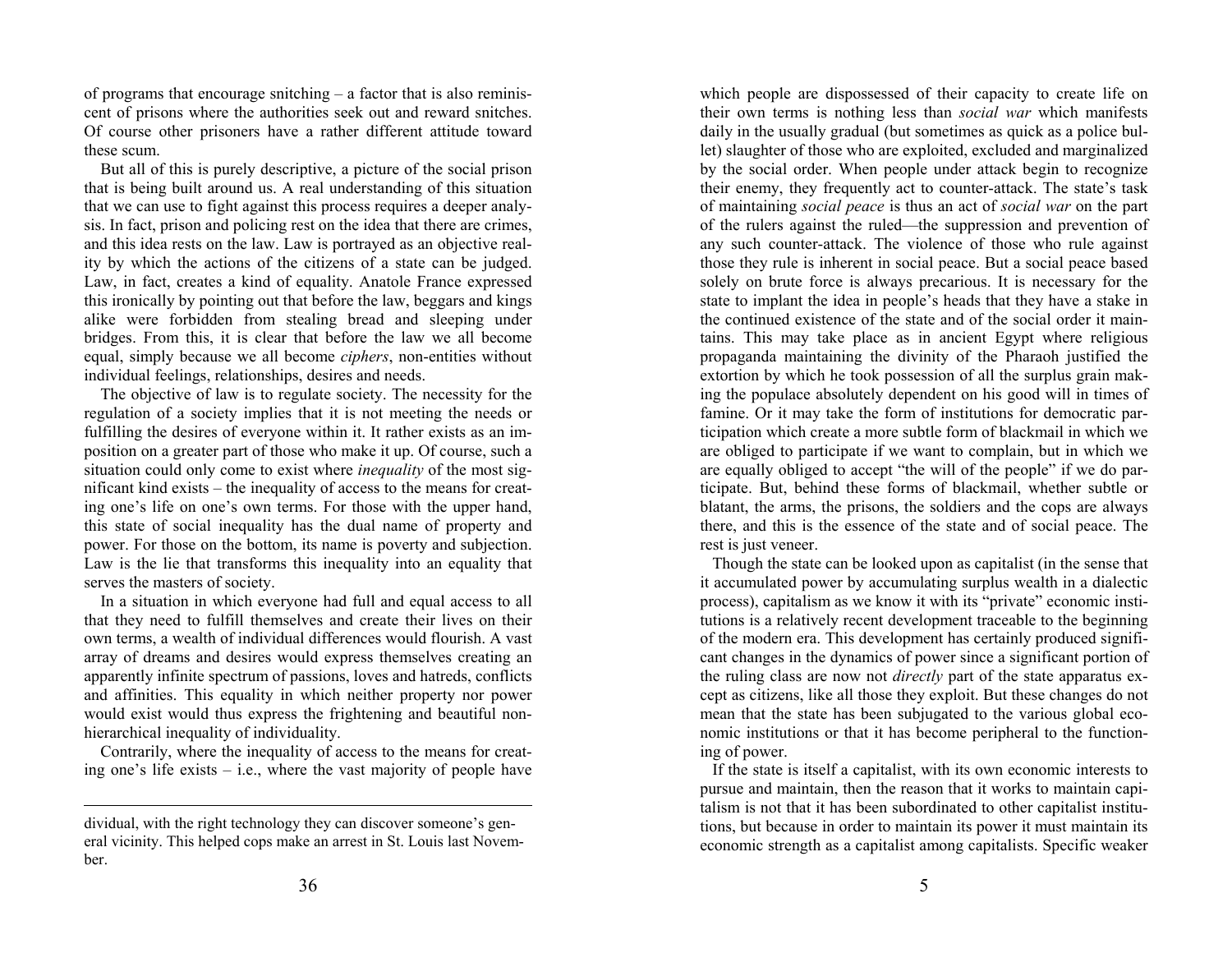of programs that encourage snitching – a factor that is also reminiscent of prisons where the authorities seek out and reward snitches. Of course other prisoners have a rather different attitude toward these scum.

 But all of this is purely descriptive, a picture of the social prison that is being built around us. A real understanding of this situation that we can use to fight against this process requires a deeper analysis. In fact, prison and policing rest on the idea that there are crimes, and this idea rests on the law. Law is portrayed as an objective reality by which the actions of the citizens of a state can be judged. Law, in fact, creates a kind of equality. Anatole France expressed this ironically by pointing out that before the law, beggars and kings alike were forbidden from stealing bread and sleeping under bridges. From this, it is clear that before the law we all become equal, simply because we all become *ciphers*, non-entities without individual feelings, relationships, desires and needs.

 The objective of law is to regulate society. The necessity for the regulation of a society implies that it is not meeting the needs or fulfilling the desires of everyone within it. It rather exists as an imposition on a greater part of those who make it up. Of course, such a situation could only come to exist where *inequality* of the most significant kind exists – the inequality of access to the means for creating one's life on one's own terms. For those with the upper hand, this state of social inequality has the dual name of property and power. For those on the bottom, its name is poverty and subjection. Law is the lie that transforms this inequality into an equality that serves the masters of society.

 In a situation in which everyone had full and equal access to all that they need to fulfill themselves and create their lives on their own terms, a wealth of individual differences would flourish. A vast array of dreams and desires would express themselves creating an apparently infinite spectrum of passions, loves and hatreds, conflicts and affinities. This equality in which neither property nor power would exist would thus express the frightening and beautiful nonhierarchical inequality of individuality.

 Contrarily, where the inequality of access to the means for creating one's life exists  $-$  i.e., where the vast majority of people have

which people are dispossessed of their capacity to create life on their own terms is nothing less than *social war* which manifests daily in the usually gradual (but sometimes as quick as a police bullet) slaughter of those who are exploited, excluded and marginalized by the social order. When people under attack begin to recognize their enemy, they frequently act to counter-attack. The state's task of maintaining *social peace* is thus an act of *social war* on the part of the rulers against the ruled—the suppression and prevention of any such counter-attack. The violence of those who rule against those they rule is inherent in social peace. But a social peace based solely on brute force is always precarious. It is necessary for the state to implant the idea in people's heads that they have a stake in the continued existence of the state and of the social order it maintains. This may take place as in ancient Egypt where religious propaganda maintaining the divinity of the Pharaoh justified the extortion by which he took possession of all the surplus grain making the populace absolutely dependent on his good will in times of famine. Or it may take the form of institutions for democratic participation which create a more subtle form of blackmail in which we are obliged to participate if we want to complain, but in which we are equally obliged to accept "the will of the people" if we do participate. But, behind these forms of blackmail, whether subtle or blatant, the arms, the prisons, the soldiers and the cops are always there, and this is the essence of the state and of social peace. The rest is just veneer.

 Though the state can be looked upon as capitalist (in the sense that it accumulated power by accumulating surplus wealth in a dialectic process), capitalism as we know it with its "private" economic institutions is a relatively recent development traceable to the beginning of the modern era. This development has certainly produced significant changes in the dynamics of power since a significant portion of the ruling class are now not *directly* part of the state apparatus except as citizens, like all those they exploit. But these changes do not mean that the state has been subjugated to the various global economic institutions or that it has become peripheral to the functioning of power.

 If the state is itself a capitalist, with its own economic interests to pursue and maintain, then the reason that it works to maintain capitalism is not that it has been subordinated to other capitalist institutions, but because in order to maintain its power it must maintain its economic strength as a capitalist among capitalists. Specific weaker

dividual, with the right technology they can discover someone's general vicinity. This helped cops make an arrest in St. Louis last November.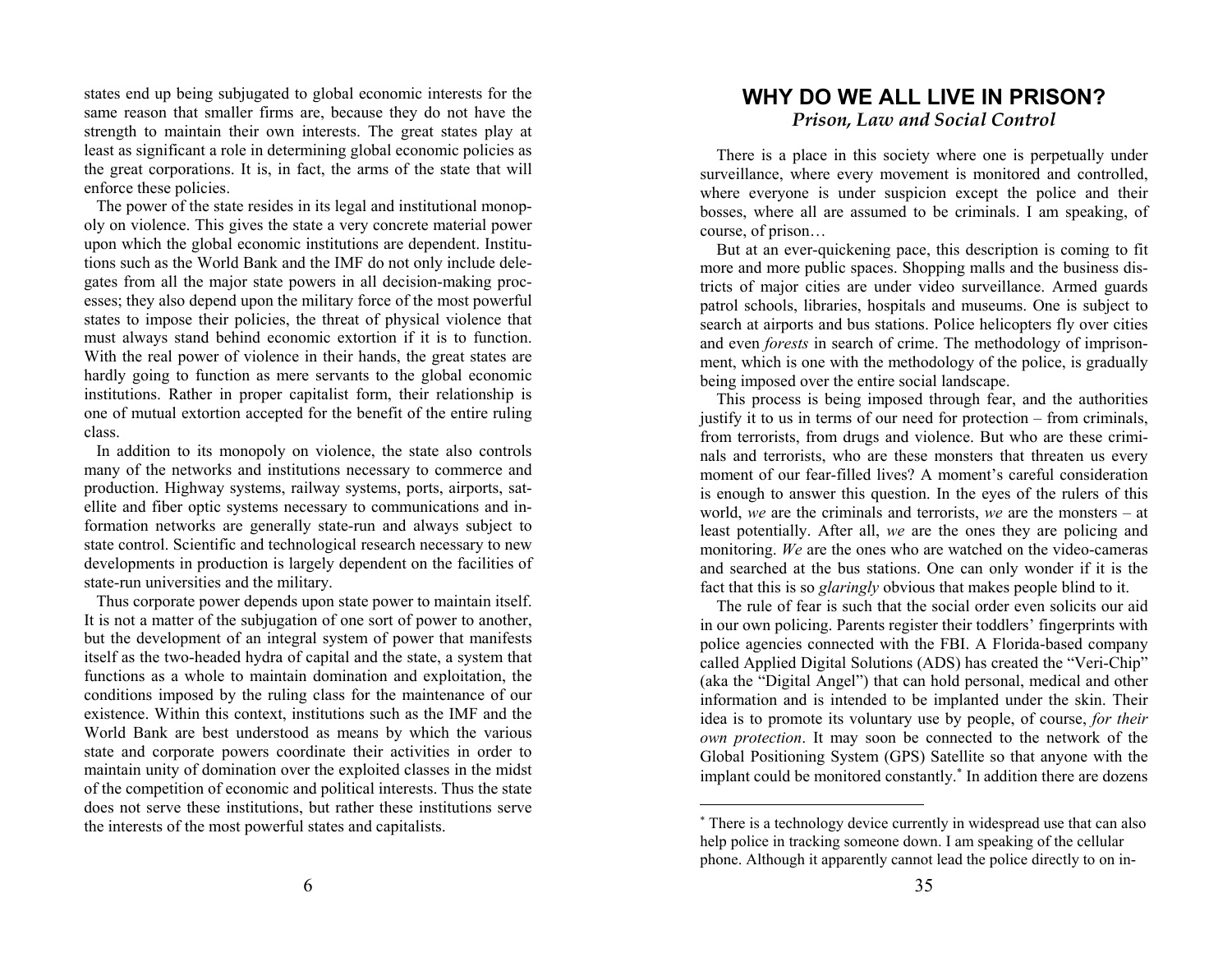states end up being subjugated to global economic interests for the same reason that smaller firms are, because they do not have the strength to maintain their own interests. The great states play at least as significant a role in determining global economic policies as the great corporations. It is, in fact, the arms of the state that will enforce these policies.

 The power of the state resides in its legal and institutional monopoly on violence. This gives the state a very concrete material power upon which the global economic institutions are dependent. Institutions such as the World Bank and the IMF do not only include delegates from all the major state powers in all decision-making processes; they also depend upon the military force of the most powerful states to impose their policies, the threat of physical violence that must always stand behind economic extortion if it is to function. With the real power of violence in their hands, the great states are hardly going to function as mere servants to the global economic institutions. Rather in proper capitalist form, their relationship is one of mutual extortion accepted for the benefit of the entire ruling class.

 In addition to its monopoly on violence, the state also controls many of the networks and institutions necessary to commerce and production. Highway systems, railway systems, ports, airports, satellite and fiber optic systems necessary to communications and information networks are generally state-run and always subject to state control. Scientific and technological research necessary to new developments in production is largely dependent on the facilities of state-run universities and the military.

 Thus corporate power depends upon state power to maintain itself. It is not a matter of the subjugation of one sort of power to another, but the development of an integral system of power that manifests itself as the two-headed hydra of capital and the state, a system that functions as a whole to maintain domination and exploitation, the conditions imposed by the ruling class for the maintenance of our existence. Within this context, institutions such as the IMF and the World Bank are best understood as means by which the various state and corporate powers coordinate their activities in order to maintain unity of domination over the exploited classes in the midst of the competition of economic and political interests. Thus the state does not serve these institutions, but rather these institutions serve the interests of the most powerful states and capitalists.

## **WHY DO WE ALL LIVE IN PRISON?** *Prison, Law and Social Control*

 There is a place in this society where one is perpetually under surveillance, where every movement is monitored and controlled, where everyone is under suspicion except the police and their bosses, where all are assumed to be criminals. I am speaking, of course, of prison…

 But at an ever-quickening pace, this description is coming to fit more and more public spaces. Shopping malls and the business districts of major cities are under video surveillance. Armed guards patrol schools, libraries, hospitals and museums. One is subject to search at airports and bus stations. Police helicopters fly over cities and even *forests* in search of crime. The methodology of imprisonment, which is one with the methodology of the police, is gradually being imposed over the entire social landscape.

 This process is being imposed through fear, and the authorities justify it to us in terms of our need for protection – from criminals, from terrorists, from drugs and violence. But who are these criminals and terrorists, who are these monsters that threaten us every moment of our fear-filled lives? A moment's careful consideration is enough to answer this question. In the eyes of the rulers of this world, *we* are the criminals and terrorists, *we* are the monsters – at least potentially. After all, *we* are the ones they are policing and monitoring. *We* are the ones who are watched on the video-cameras and searched at the bus stations. One can only wonder if it is the fact that this is so *glaringly* obvious that makes people blind to it.

 The rule of fear is such that the social order even solicits our aid in our own policing. Parents register their toddlers' fingerprints with police agencies connected with the FBI. A Florida-based company called Applied Digital Solutions (ADS) has created the "Veri-Chip" (aka the "Digital Angel") that can hold personal, medical and other information and is intended to be implanted under the skin. Their idea is to promote its voluntary use by people, of course, *for their own protection*. It may soon be connected to the network of the Global Positioning System (GPS) Satellite so that anyone with the implant could be monitored constantly.<sup>∗</sup> In addition there are dozens

<sup>∗</sup> There is a technology device currently in widespread use that can also help police in tracking someone down. I am speaking of the cellular phone. Although it apparently cannot lead the police directly to on in-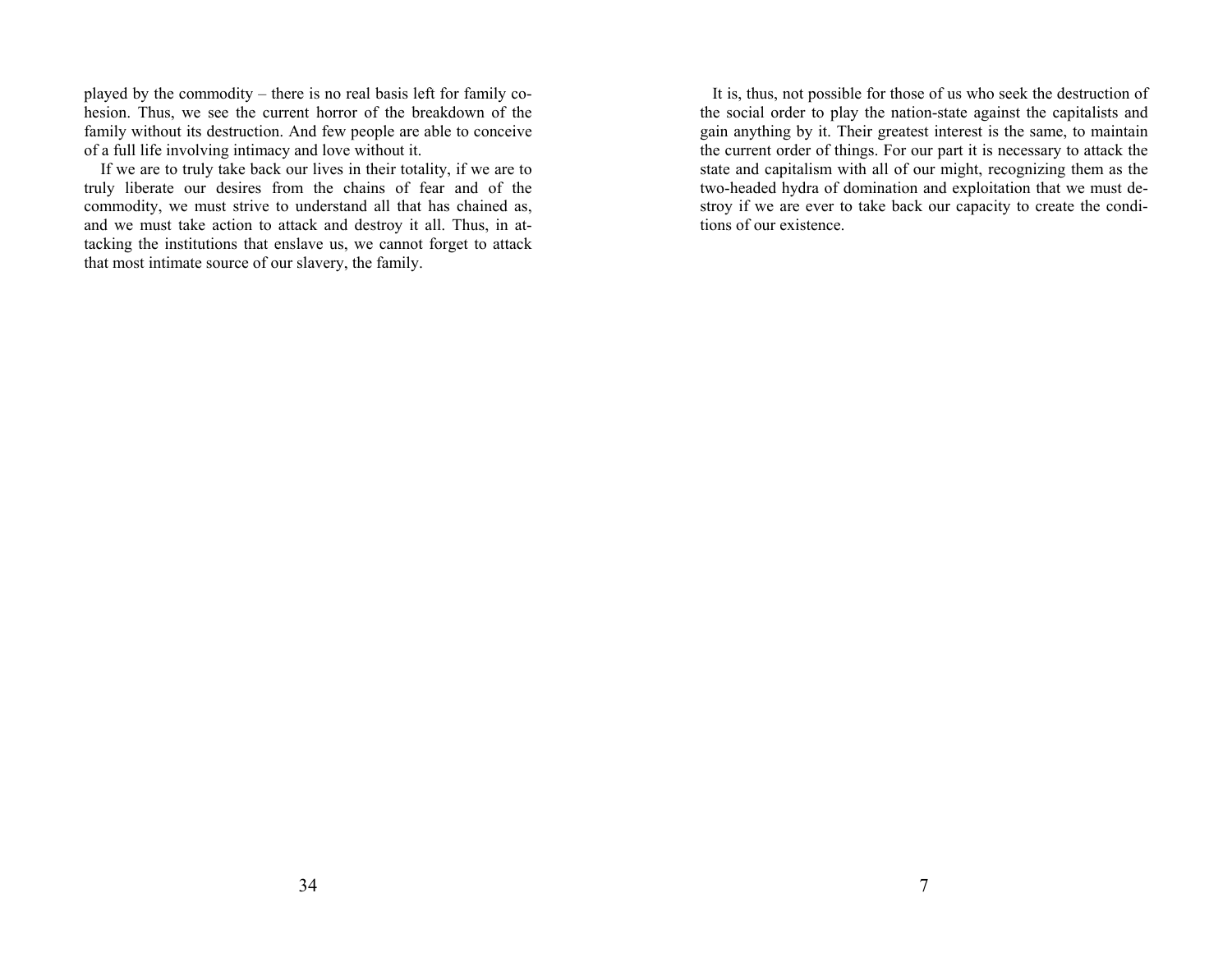played by the commodity – there is no real basis left for family cohesion. Thus, we see the current horror of the breakdown of the family without its destruction. And few people are able to conceive of a full life involving intimacy and love without it.

 If we are to truly take back our lives in their totality, if we are to truly liberate our desires from the chains of fear and of the commodity, we must strive to understand all that has chained as, and we must take action to attack and destroy it all. Thus, in attacking the institutions that enslave us, we cannot forget to attack that most intimate source of our slavery, the family.

 It is, thus, not possible for those of us who seek the destruction of the social order to play the nation-state against the capitalists and gain anything by it. Their greatest interest is the same, to maintain the current order of things. For our part it is necessary to attack the state and capitalism with all of our might, recognizing them as the two-headed hydra of domination and exploitation that we must destroy if we are ever to take back our capacity to create the conditions of our existence.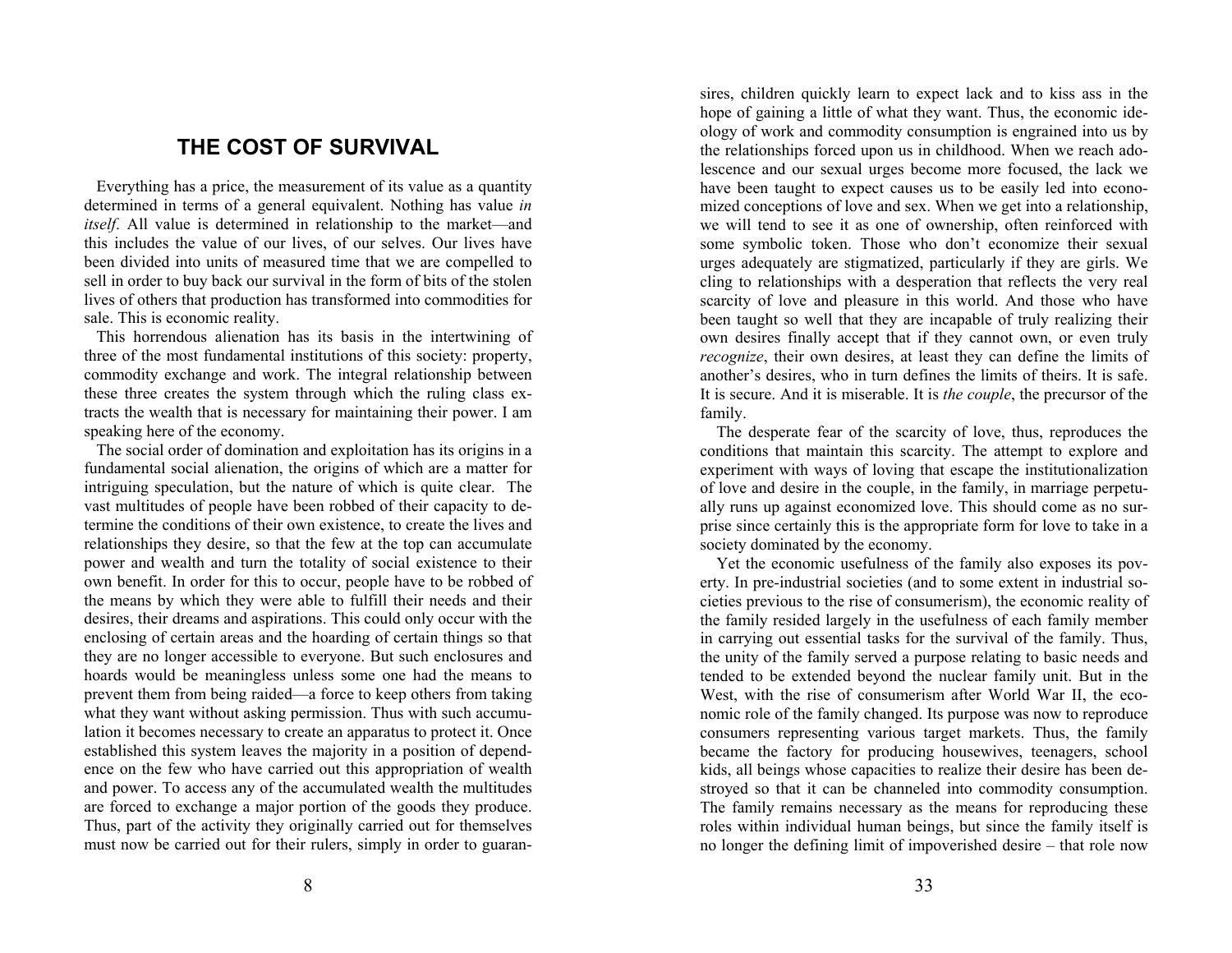# **THE COST OF SURVIVAL**

 Everything has a price, the measurement of its value as a quantity determined in terms of a general equivalent. Nothing has value *in itself*. All value is determined in relationship to the market—and this includes the value of our lives, of our selves. Our lives have been divided into units of measured time that we are compelled to sell in order to buy back our survival in the form of bits of the stolen lives of others that production has transformed into commodities for sale. This is economic reality.

 This horrendous alienation has its basis in the intertwining of three of the most fundamental institutions of this society: property, commodity exchange and work. The integral relationship between these three creates the system through which the ruling class extracts the wealth that is necessary for maintaining their power. I am speaking here of the economy.

 The social order of domination and exploitation has its origins in a fundamental social alienation, the origins of which are a matter for intriguing speculation, but the nature of which is quite clear. The vast multitudes of people have been robbed of their capacity to determine the conditions of their own existence, to create the lives and relationships they desire, so that the few at the top can accumulate power and wealth and turn the totality of social existence to their own benefit. In order for this to occur, people have to be robbed of the means by which they were able to fulfill their needs and their desires, their dreams and aspirations. This could only occur with the enclosing of certain areas and the hoarding of certain things so that they are no longer accessible to everyone. But such enclosures and hoards would be meaningless unless some one had the means to prevent them from being raided—a force to keep others from taking what they want without asking permission. Thus with such accumulation it becomes necessary to create an apparatus to protect it. Once established this system leaves the majority in a position of dependence on the few who have carried out this appropriation of wealth and power. To access any of the accumulated wealth the multitudes are forced to exchange a major portion of the goods they produce. Thus, part of the activity they originally carried out for themselves must now be carried out for their rulers, simply in order to guaran-

sires, children quickly learn to expect lack and to kiss ass in the hope of gaining a little of what they want. Thus, the economic ideology of work and commodity consumption is engrained into us by the relationships forced upon us in childhood. When we reach adolescence and our sexual urges become more focused, the lack we have been taught to expect causes us to be easily led into economized conceptions of love and sex. When we get into a relationship, we will tend to see it as one of ownership, often reinforced with some symbolic token. Those who don't economize their sexual urges adequately are stigmatized, particularly if they are girls. We cling to relationships with a desperation that reflects the very real scarcity of love and pleasure in this world. And those who have been taught so well that they are incapable of truly realizing their own desires finally accept that if they cannot own, or even truly *recognize*, their own desires, at least they can define the limits of another's desires, who in turn defines the limits of theirs. It is safe. It is secure. And it is miserable. It is *the couple*, the precursor of the family.

 The desperate fear of the scarcity of love, thus, reproduces the conditions that maintain this scarcity. The attempt to explore and experiment with ways of loving that escape the institutionalization of love and desire in the couple, in the family, in marriage perpetually runs up against economized love. This should come as no surprise since certainly this is the appropriate form for love to take in a society dominated by the economy.

 Yet the economic usefulness of the family also exposes its poverty. In pre-industrial societies (and to some extent in industrial societies previous to the rise of consumerism), the economic reality of the family resided largely in the usefulness of each family member in carrying out essential tasks for the survival of the family. Thus, the unity of the family served a purpose relating to basic needs and tended to be extended beyond the nuclear family unit. But in the West, with the rise of consumerism after World War II, the economic role of the family changed. Its purpose was now to reproduce consumers representing various target markets. Thus, the family became the factory for producing housewives, teenagers, school kids, all beings whose capacities to realize their desire has been destroyed so that it can be channeled into commodity consumption. The family remains necessary as the means for reproducing these roles within individual human beings, but since the family itself is no longer the defining limit of impoverished desire – that role now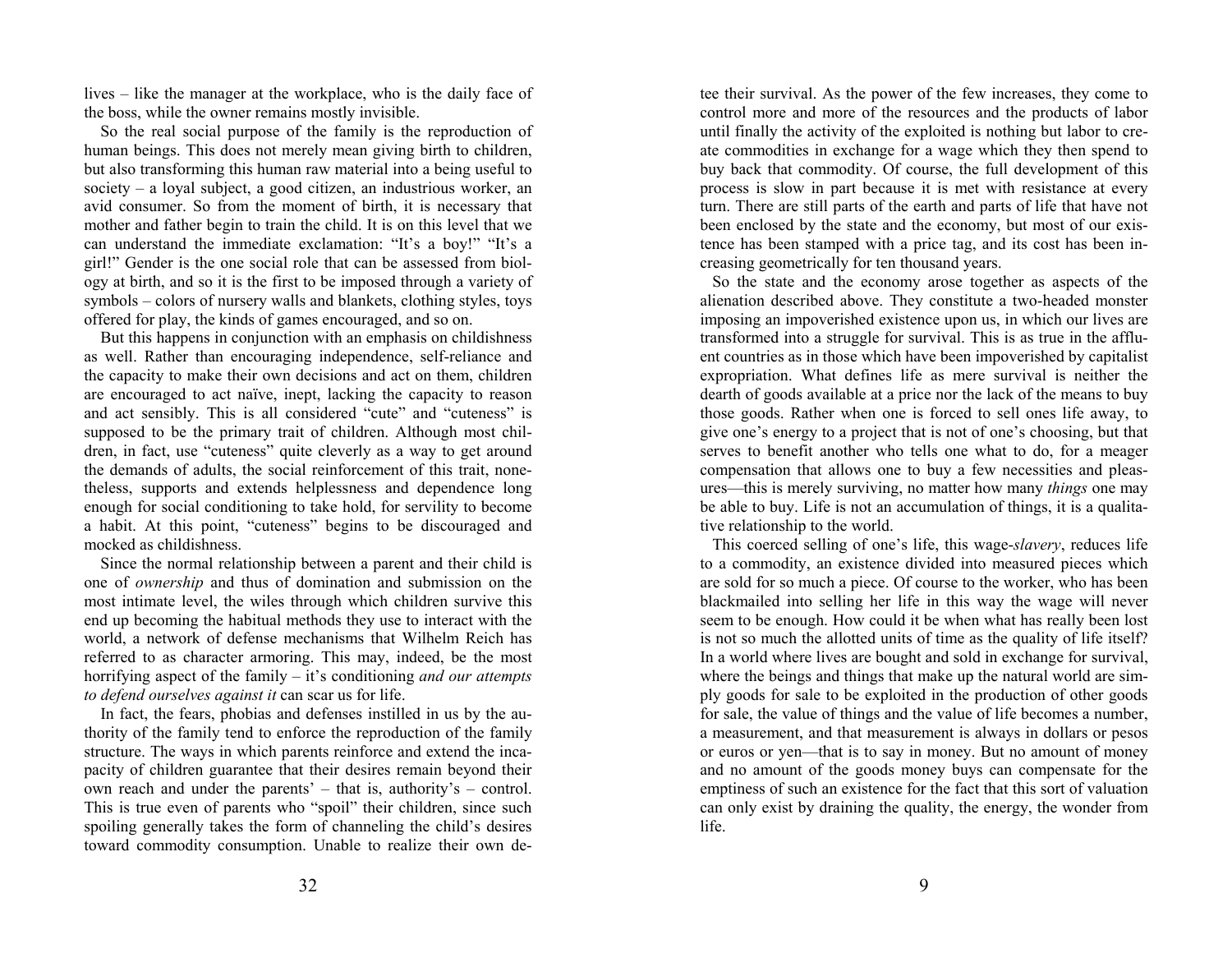lives – like the manager at the workplace, who is the daily face of the boss, while the owner remains mostly invisible.

 So the real social purpose of the family is the reproduction of human beings. This does not merely mean giving birth to children, but also transforming this human raw material into a being useful to society – a loyal subject, a good citizen, an industrious worker, an avid consumer. So from the moment of birth, it is necessary that mother and father begin to train the child. It is on this level that we can understand the immediate exclamation: "It's a boy!" "It's a girl!" Gender is the one social role that can be assessed from biology at birth, and so it is the first to be imposed through a variety of symbols – colors of nursery walls and blankets, clothing styles, toys offered for play, the kinds of games encouraged, and so on.

 But this happens in conjunction with an emphasis on childishness as well. Rather than encouraging independence, self-reliance and the capacity to make their own decisions and act on them, children are encouraged to act naïve, inept, lacking the capacity to reason and act sensibly. This is all considered "cute" and "cuteness" is supposed to be the primary trait of children. Although most children, in fact, use "cuteness" quite cleverly as a way to get around the demands of adults, the social reinforcement of this trait, nonetheless, supports and extends helplessness and dependence long enough for social conditioning to take hold, for servility to become a habit. At this point, "cuteness" begins to be discouraged and mocked as childishness.

 Since the normal relationship between a parent and their child is one of *ownership* and thus of domination and submission on the most intimate level, the wiles through which children survive this end up becoming the habitual methods they use to interact with the world, a network of defense mechanisms that Wilhelm Reich has referred to as character armoring. This may, indeed, be the most horrifying aspect of the family – it's conditioning *and our attempts to defend ourselves against it* can scar us for life.

 In fact, the fears, phobias and defenses instilled in us by the authority of the family tend to enforce the reproduction of the family structure. The ways in which parents reinforce and extend the incapacity of children guarantee that their desires remain beyond their own reach and under the parents' – that is, authority's – control. This is true even of parents who "spoil" their children, since such spoiling generally takes the form of channeling the child's desires toward commodity consumption. Unable to realize their own de-

tee their survival. As the power of the few increases, they come to control more and more of the resources and the products of labor until finally the activity of the exploited is nothing but labor to create commodities in exchange for a wage which they then spend to buy back that commodity. Of course, the full development of this process is slow in part because it is met with resistance at every turn. There are still parts of the earth and parts of life that have not been enclosed by the state and the economy, but most of our existence has been stamped with a price tag, and its cost has been increasing geometrically for ten thousand years.

 So the state and the economy arose together as aspects of the alienation described above. They constitute a two-headed monster imposing an impoverished existence upon us, in which our lives are transformed into a struggle for survival. This is as true in the affluent countries as in those which have been impoverished by capitalist expropriation. What defines life as mere survival is neither the dearth of goods available at a price nor the lack of the means to buy those goods. Rather when one is forced to sell ones life away, to give one's energy to a project that is not of one's choosing, but that serves to benefit another who tells one what to do, for a meager compensation that allows one to buy a few necessities and pleasures—this is merely surviving, no matter how many *things* one may be able to buy. Life is not an accumulation of things, it is a qualitative relationship to the world.

 This coerced selling of one's life, this wage-*slavery*, reduces life to a commodity, an existence divided into measured pieces which are sold for so much a piece. Of course to the worker, who has been blackmailed into selling her life in this way the wage will never seem to be enough. How could it be when what has really been lost is not so much the allotted units of time as the quality of life itself? In a world where lives are bought and sold in exchange for survival, where the beings and things that make up the natural world are simply goods for sale to be exploited in the production of other goods for sale, the value of things and the value of life becomes a number, a measurement, and that measurement is always in dollars or pesos or euros or yen—that is to say in money. But no amount of money and no amount of the goods money buys can compensate for the emptiness of such an existence for the fact that this sort of valuation can only exist by draining the quality, the energy, the wonder from life.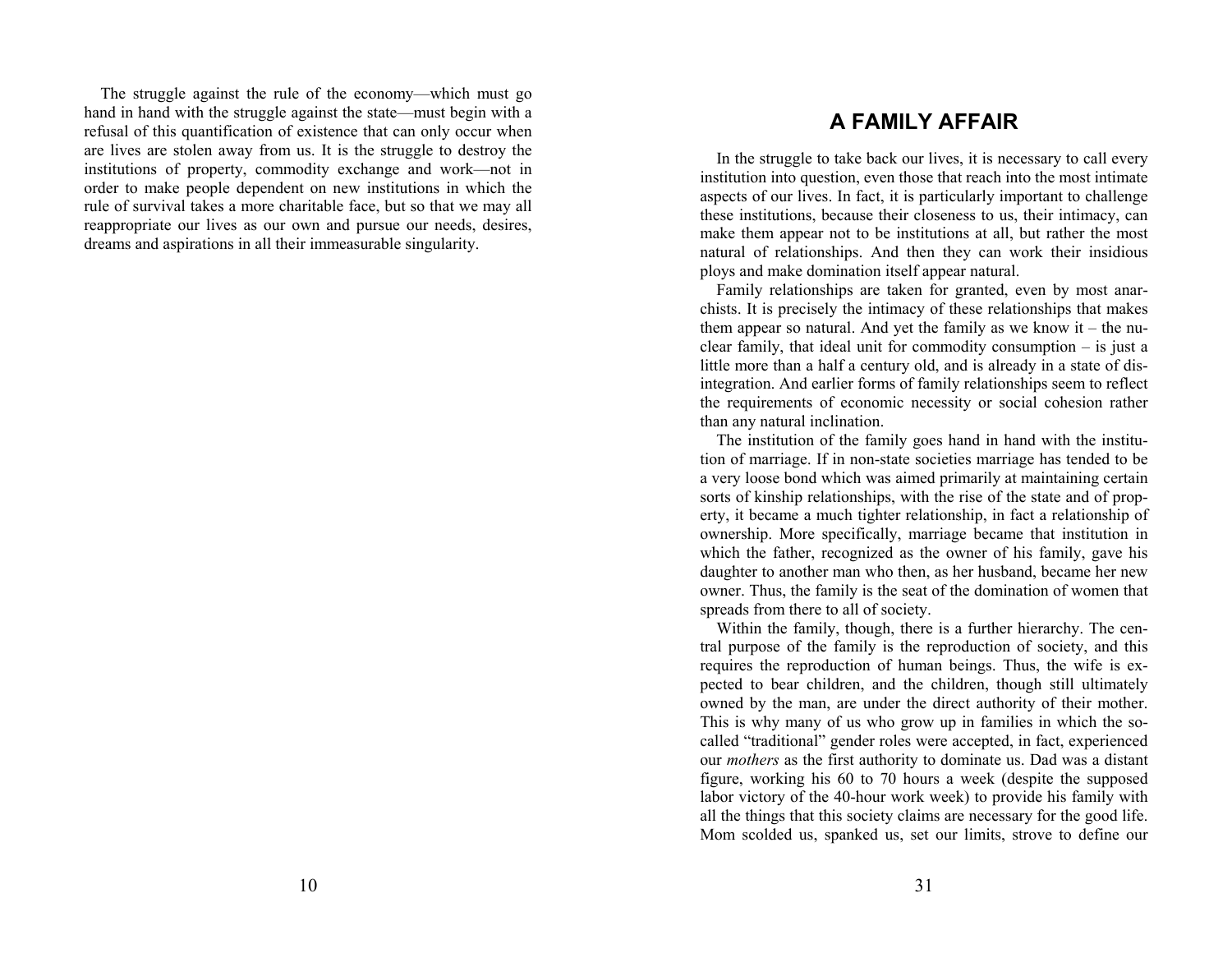The struggle against the rule of the economy—which must go hand in hand with the struggle against the state—must begin with a refusal of this quantification of existence that can only occur when are lives are stolen away from us. It is the struggle to destroy the institutions of property, commodity exchange and work—not in order to make people dependent on new institutions in which the rule of survival takes a more charitable face, but so that we may all reappropriate our lives as our own and pursue our needs, desires, dreams and aspirations in all their immeasurable singularity.

## **A FAMILY AFFAIR**

 In the struggle to take back our lives, it is necessary to call every institution into question, even those that reach into the most intimate aspects of our lives. In fact, it is particularly important to challenge these institutions, because their closeness to us, their intimacy, can make them appear not to be institutions at all, but rather the most natural of relationships. And then they can work their insidious ploys and make domination itself appear natural.

 Family relationships are taken for granted, even by most anarchists. It is precisely the intimacy of these relationships that makes them appear so natural. And yet the family as we know it – the nuclear family, that ideal unit for commodity consumption – is just a little more than a half a century old, and is already in a state of disintegration. And earlier forms of family relationships seem to reflect the requirements of economic necessity or social cohesion rather than any natural inclination.

 The institution of the family goes hand in hand with the institution of marriage. If in non-state societies marriage has tended to be a very loose bond which was aimed primarily at maintaining certain sorts of kinship relationships, with the rise of the state and of property, it became a much tighter relationship, in fact a relationship of ownership. More specifically, marriage became that institution in which the father, recognized as the owner of his family, gave his daughter to another man who then, as her husband, became her new owner. Thus, the family is the seat of the domination of women that spreads from there to all of society.

 Within the family, though, there is a further hierarchy. The central purpose of the family is the reproduction of society, and this requires the reproduction of human beings. Thus, the wife is expected to bear children, and the children, though still ultimately owned by the man, are under the direct authority of their mother. This is why many of us who grow up in families in which the socalled "traditional" gender roles were accepted, in fact, experienced our *mothers* as the first authority to dominate us. Dad was a distant figure, working his 60 to 70 hours a week (despite the supposed labor victory of the 40-hour work week) to provide his family with all the things that this society claims are necessary for the good life. Mom scolded us, spanked us, set our limits, strove to define our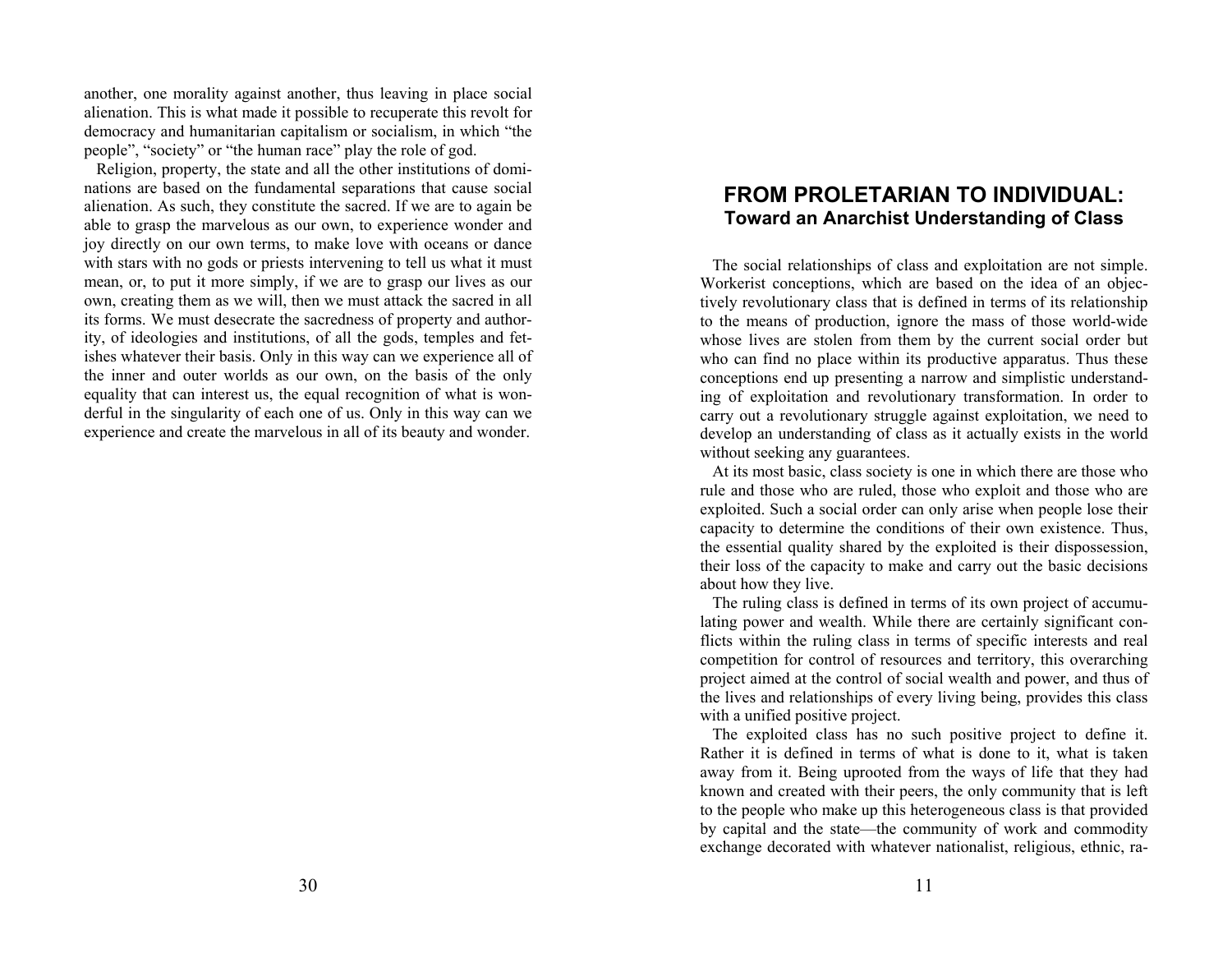another, one morality against another, thus leaving in place social alienation. This is what made it possible to recuperate this revolt for democracy and humanitarian capitalism or socialism, in which "the people", "society" or "the human race" play the role of god.

 Religion, property, the state and all the other institutions of dominations are based on the fundamental separations that cause social alienation. As such, they constitute the sacred. If we are to again be able to grasp the marvelous as our own, to experience wonder and joy directly on our own terms, to make love with oceans or dance with stars with no gods or priests intervening to tell us what it must mean, or, to put it more simply, if we are to grasp our lives as our own, creating them as we will, then we must attack the sacred in all its forms. We must desecrate the sacredness of property and authority, of ideologies and institutions, of all the gods, temples and fetishes whatever their basis. Only in this way can we experience all of the inner and outer worlds as our own, on the basis of the only equality that can interest us, the equal recognition of what is wonderful in the singularity of each one of us. Only in this way can we experience and create the marvelous in all of its beauty and wonder.

#### **FROM PROLETARIAN TO INDIVIDUAL: Toward an Anarchist Understanding of Class**

 The social relationships of class and exploitation are not simple. Workerist conceptions, which are based on the idea of an objectively revolutionary class that is defined in terms of its relationship to the means of production, ignore the mass of those world-wide whose lives are stolen from them by the current social order but who can find no place within its productive apparatus. Thus these conceptions end up presenting a narrow and simplistic understanding of exploitation and revolutionary transformation. In order to carry out a revolutionary struggle against exploitation, we need to develop an understanding of class as it actually exists in the world without seeking any guarantees.

 At its most basic, class society is one in which there are those who rule and those who are ruled, those who exploit and those who are exploited. Such a social order can only arise when people lose their capacity to determine the conditions of their own existence. Thus, the essential quality shared by the exploited is their dispossession, their loss of the capacity to make and carry out the basic decisions about how they live.

 The ruling class is defined in terms of its own project of accumulating power and wealth. While there are certainly significant conflicts within the ruling class in terms of specific interests and real competition for control of resources and territory, this overarching project aimed at the control of social wealth and power, and thus of the lives and relationships of every living being, provides this class with a unified positive project.

 The exploited class has no such positive project to define it. Rather it is defined in terms of what is done to it, what is taken away from it. Being uprooted from the ways of life that they had known and created with their peers, the only community that is left to the people who make up this heterogeneous class is that provided by capital and the state—the community of work and commodity exchange decorated with whatever nationalist, religious, ethnic, ra-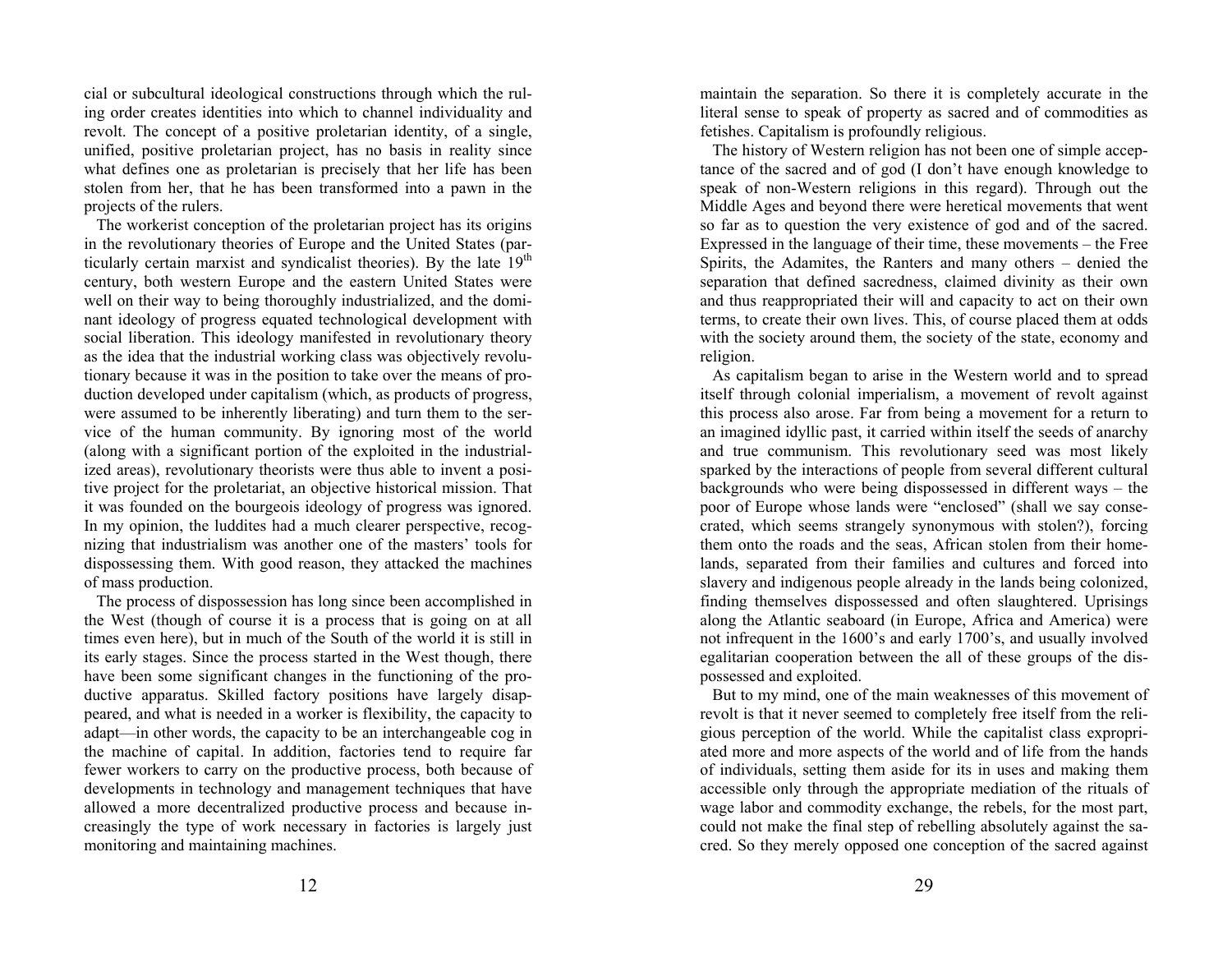cial or subcultural ideological constructions through which the ruling order creates identities into which to channel individuality and revolt. The concept of a positive proletarian identity, of a single, unified, positive proletarian project, has no basis in reality since what defines one as proletarian is precisely that her life has been stolen from her, that he has been transformed into a pawn in the projects of the rulers.

 The workerist conception of the proletarian project has its origins in the revolutionary theories of Europe and the United States (particularly certain marxist and syndicalist theories). By the late 19<sup>th</sup> century, both western Europe and the eastern United States were well on their way to being thoroughly industrialized, and the dominant ideology of progress equated technological development with social liberation. This ideology manifested in revolutionary theory as the idea that the industrial working class was objectively revolutionary because it was in the position to take over the means of production developed under capitalism (which, as products of progress, were assumed to be inherently liberating) and turn them to the service of the human community. By ignoring most of the world (along with a significant portion of the exploited in the industrialized areas), revolutionary theorists were thus able to invent a positive project for the proletariat, an objective historical mission. That it was founded on the bourgeois ideology of progress was ignored. In my opinion, the luddites had a much clearer perspective, recognizing that industrialism was another one of the masters' tools for dispossessing them. With good reason, they attacked the machines of mass production.

 The process of dispossession has long since been accomplished in the West (though of course it is a process that is going on at all times even here), but in much of the South of the world it is still in its early stages. Since the process started in the West though, there have been some significant changes in the functioning of the productive apparatus. Skilled factory positions have largely disappeared, and what is needed in a worker is flexibility, the capacity to adapt—in other words, the capacity to be an interchangeable cog in the machine of capital. In addition, factories tend to require far fewer workers to carry on the productive process, both because of developments in technology and management techniques that have allowed a more decentralized productive process and because increasingly the type of work necessary in factories is largely just monitoring and maintaining machines.

maintain the separation. So there it is completely accurate in the literal sense to speak of property as sacred and of commodities as fetishes. Capitalism is profoundly religious.

 The history of Western religion has not been one of simple acceptance of the sacred and of god (I don't have enough knowledge to speak of non-Western religions in this regard). Through out the Middle Ages and beyond there were heretical movements that went so far as to question the very existence of god and of the sacred. Expressed in the language of their time, these movements – the Free Spirits, the Adamites, the Ranters and many others – denied the separation that defined sacredness, claimed divinity as their own and thus reappropriated their will and capacity to act on their own terms, to create their own lives. This, of course placed them at odds with the society around them, the society of the state, economy and religion.

 As capitalism began to arise in the Western world and to spread itself through colonial imperialism, a movement of revolt against this process also arose. Far from being a movement for a return to an imagined idyllic past, it carried within itself the seeds of anarchy and true communism. This revolutionary seed was most likely sparked by the interactions of people from several different cultural backgrounds who were being dispossessed in different ways – the poor of Europe whose lands were "enclosed" (shall we say consecrated, which seems strangely synonymous with stolen?), forcing them onto the roads and the seas, African stolen from their homelands, separated from their families and cultures and forced into slavery and indigenous people already in the lands being colonized, finding themselves dispossessed and often slaughtered. Uprisings along the Atlantic seaboard (in Europe, Africa and America) were not infrequent in the 1600's and early 1700's, and usually involved egalitarian cooperation between the all of these groups of the dispossessed and exploited.

 But to my mind, one of the main weaknesses of this movement of revolt is that it never seemed to completely free itself from the religious perception of the world. While the capitalist class expropriated more and more aspects of the world and of life from the hands of individuals, setting them aside for its in uses and making them accessible only through the appropriate mediation of the rituals of wage labor and commodity exchange, the rebels, for the most part, could not make the final step of rebelling absolutely against the sacred. So they merely opposed one conception of the sacred against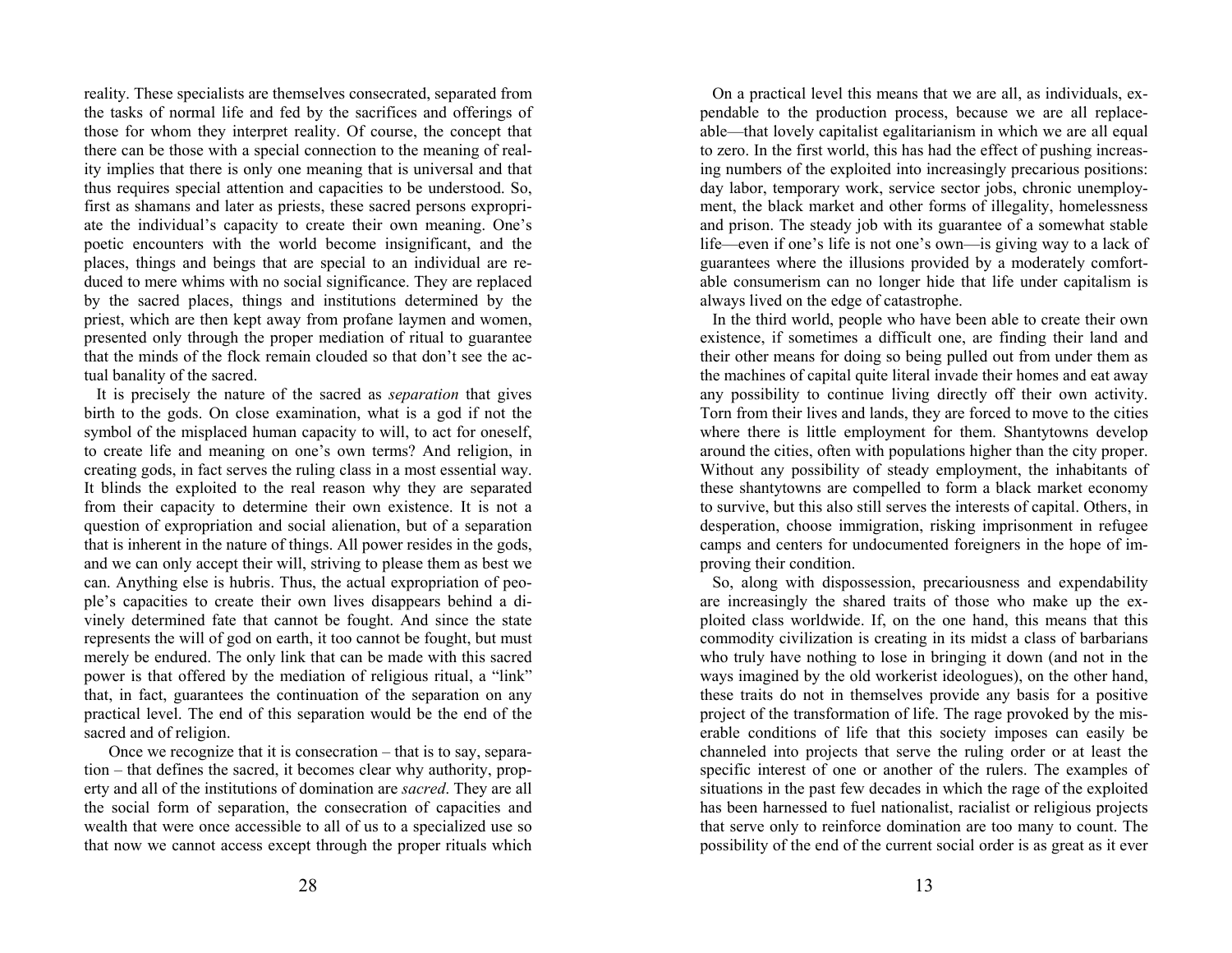reality. These specialists are themselves consecrated, separated from the tasks of normal life and fed by the sacrifices and offerings of those for whom they interpret reality. Of course, the concept that there can be those with a special connection to the meaning of reality implies that there is only one meaning that is universal and that thus requires special attention and capacities to be understood. So, first as shamans and later as priests, these sacred persons expropriate the individual's capacity to create their own meaning. One's poetic encounters with the world become insignificant, and the places, things and beings that are special to an individual are reduced to mere whims with no social significance. They are replaced by the sacred places, things and institutions determined by the priest, which are then kept away from profane laymen and women, presented only through the proper mediation of ritual to guarantee that the minds of the flock remain clouded so that don't see the actual banality of the sacred.

 It is precisely the nature of the sacred as *separation* that gives birth to the gods. On close examination, what is a god if not the symbol of the misplaced human capacity to will, to act for oneself, to create life and meaning on one's own terms? And religion, in creating gods, in fact serves the ruling class in a most essential way. It blinds the exploited to the real reason why they are separated from their capacity to determine their own existence. It is not a question of expropriation and social alienation, but of a separation that is inherent in the nature of things. All power resides in the gods, and we can only accept their will, striving to please them as best we can. Anything else is hubris. Thus, the actual expropriation of people's capacities to create their own lives disappears behind a divinely determined fate that cannot be fought. And since the state represents the will of god on earth, it too cannot be fought, but must merely be endured. The only link that can be made with this sacred power is that offered by the mediation of religious ritual, a "link" that, in fact, guarantees the continuation of the separation on any practical level. The end of this separation would be the end of the sacred and of religion.

 Once we recognize that it is consecration – that is to say, separation – that defines the sacred, it becomes clear why authority, property and all of the institutions of domination are *sacred*. They are all the social form of separation, the consecration of capacities and wealth that were once accessible to all of us to a specialized use so that now we cannot access except through the proper rituals which

 On a practical level this means that we are all, as individuals, expendable to the production process, because we are all replaceable—that lovely capitalist egalitarianism in which we are all equal to zero. In the first world, this has had the effect of pushing increasing numbers of the exploited into increasingly precarious positions: day labor, temporary work, service sector jobs, chronic unemployment, the black market and other forms of illegality, homelessness and prison. The steady job with its guarantee of a somewhat stable life—even if one's life is not one's own—is giving way to a lack of guarantees where the illusions provided by a moderately comfortable consumerism can no longer hide that life under capitalism is always lived on the edge of catastrophe.

 In the third world, people who have been able to create their own existence, if sometimes a difficult one, are finding their land and their other means for doing so being pulled out from under them as the machines of capital quite literal invade their homes and eat away any possibility to continue living directly off their own activity. Torn from their lives and lands, they are forced to move to the cities where there is little employment for them. Shantytowns develop around the cities, often with populations higher than the city proper. Without any possibility of steady employment, the inhabitants of these shantytowns are compelled to form a black market economy to survive, but this also still serves the interests of capital. Others, in desperation, choose immigration, risking imprisonment in refugee camps and centers for undocumented foreigners in the hope of improving their condition.

 So, along with dispossession, precariousness and expendability are increasingly the shared traits of those who make up the exploited class worldwide. If, on the one hand, this means that this commodity civilization is creating in its midst a class of barbarians who truly have nothing to lose in bringing it down (and not in the ways imagined by the old workerist ideologues), on the other hand, these traits do not in themselves provide any basis for a positive project of the transformation of life. The rage provoked by the miserable conditions of life that this society imposes can easily be channeled into projects that serve the ruling order or at least the specific interest of one or another of the rulers. The examples of situations in the past few decades in which the rage of the exploited has been harnessed to fuel nationalist, racialist or religious projects that serve only to reinforce domination are too many to count. The possibility of the end of the current social order is as great as it ever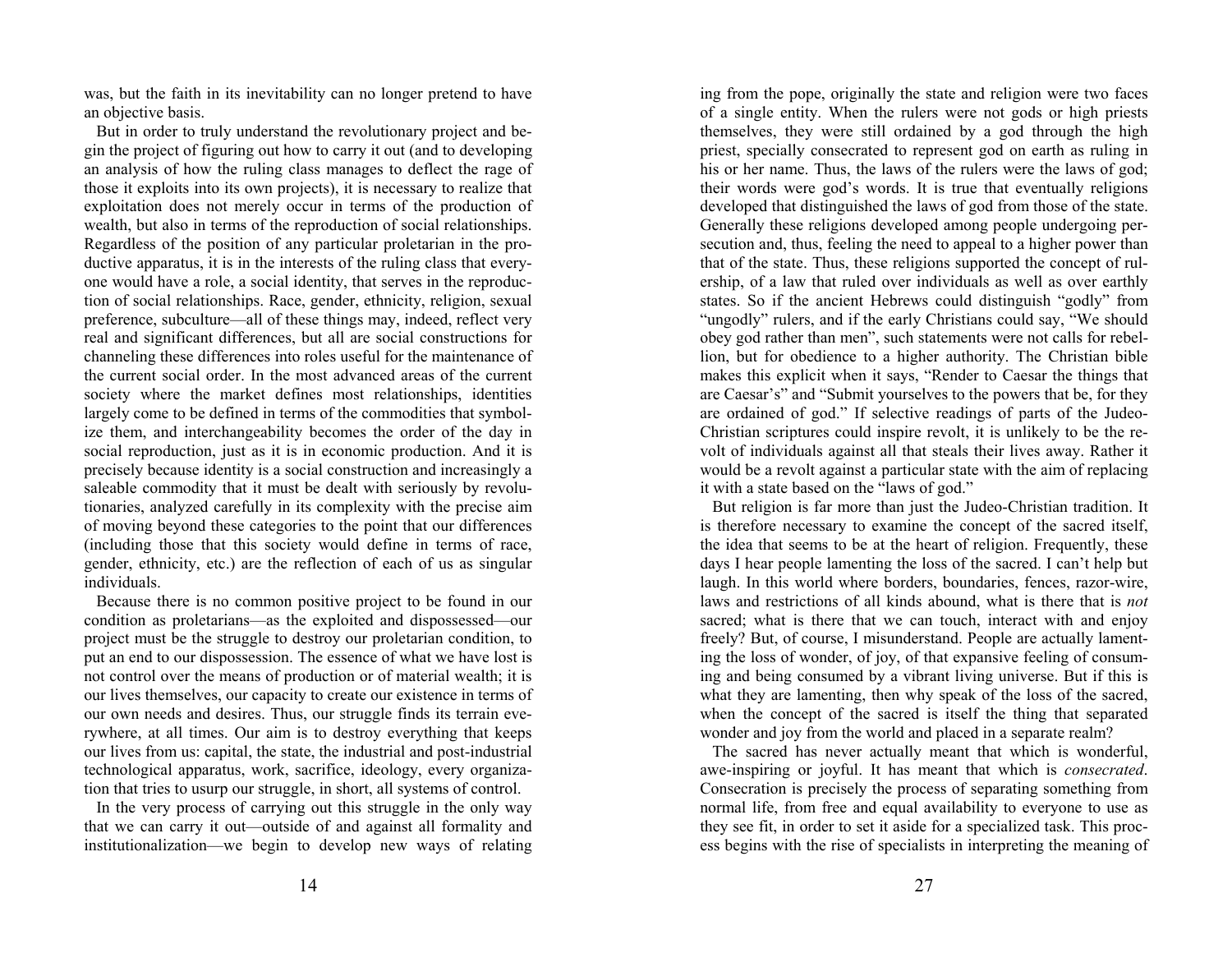was, but the faith in its inevitability can no longer pretend to have an objective basis.

 But in order to truly understand the revolutionary project and begin the project of figuring out how to carry it out (and to developing an analysis of how the ruling class manages to deflect the rage of those it exploits into its own projects), it is necessary to realize that exploitation does not merely occur in terms of the production of wealth, but also in terms of the reproduction of social relationships. Regardless of the position of any particular proletarian in the productive apparatus, it is in the interests of the ruling class that everyone would have a role, a social identity, that serves in the reproduction of social relationships. Race, gender, ethnicity, religion, sexual preference, subculture—all of these things may, indeed, reflect very real and significant differences, but all are social constructions for channeling these differences into roles useful for the maintenance of the current social order. In the most advanced areas of the current society where the market defines most relationships, identities largely come to be defined in terms of the commodities that symbolize them, and interchangeability becomes the order of the day in social reproduction, just as it is in economic production. And it is precisely because identity is a social construction and increasingly a saleable commodity that it must be dealt with seriously by revolutionaries, analyzed carefully in its complexity with the precise aim of moving beyond these categories to the point that our differences (including those that this society would define in terms of race, gender, ethnicity, etc.) are the reflection of each of us as singular individuals.

 Because there is no common positive project to be found in our condition as proletarians—as the exploited and dispossessed—our project must be the struggle to destroy our proletarian condition, to put an end to our dispossession. The essence of what we have lost is not control over the means of production or of material wealth; it is our lives themselves, our capacity to create our existence in terms of our own needs and desires. Thus, our struggle finds its terrain everywhere, at all times. Our aim is to destroy everything that keeps our lives from us: capital, the state, the industrial and post-industrial technological apparatus, work, sacrifice, ideology, every organization that tries to usurp our struggle, in short, all systems of control.

 In the very process of carrying out this struggle in the only way that we can carry it out—outside of and against all formality and institutionalization—we begin to develop new ways of relating

ing from the pope, originally the state and religion were two faces of a single entity. When the rulers were not gods or high priests themselves, they were still ordained by a god through the high priest, specially consecrated to represent god on earth as ruling in his or her name. Thus, the laws of the rulers were the laws of god; their words were god's words. It is true that eventually religions developed that distinguished the laws of god from those of the state. Generally these religions developed among people undergoing persecution and, thus, feeling the need to appeal to a higher power than that of the state. Thus, these religions supported the concept of rulership, of a law that ruled over individuals as well as over earthly states. So if the ancient Hebrews could distinguish "godly" from "ungodly" rulers, and if the early Christians could say, "We should obey god rather than men", such statements were not calls for rebellion, but for obedience to a higher authority. The Christian bible makes this explicit when it says, "Render to Caesar the things that are Caesar's" and "Submit yourselves to the powers that be, for they are ordained of god." If selective readings of parts of the Judeo-Christian scriptures could inspire revolt, it is unlikely to be the revolt of individuals against all that steals their lives away. Rather it would be a revolt against a particular state with the aim of replacing it with a state based on the "laws of god."

 But religion is far more than just the Judeo-Christian tradition. It is therefore necessary to examine the concept of the sacred itself, the idea that seems to be at the heart of religion. Frequently, these days I hear people lamenting the loss of the sacred. I can't help but laugh. In this world where borders, boundaries, fences, razor-wire, laws and restrictions of all kinds abound, what is there that is *not*  sacred; what is there that we can touch, interact with and enjoy freely? But, of course, I misunderstand. People are actually lamenting the loss of wonder, of joy, of that expansive feeling of consuming and being consumed by a vibrant living universe. But if this is what they are lamenting, then why speak of the loss of the sacred, when the concept of the sacred is itself the thing that separated wonder and joy from the world and placed in a separate realm?

The sacred has never actually meant that which is wonderful, awe-inspiring or joyful. It has meant that which is *consecrated*. Consecration is precisely the process of separating something from normal life, from free and equal availability to everyone to use as they see fit, in order to set it aside for a specialized task. This process begins with the rise of specialists in interpreting the meaning of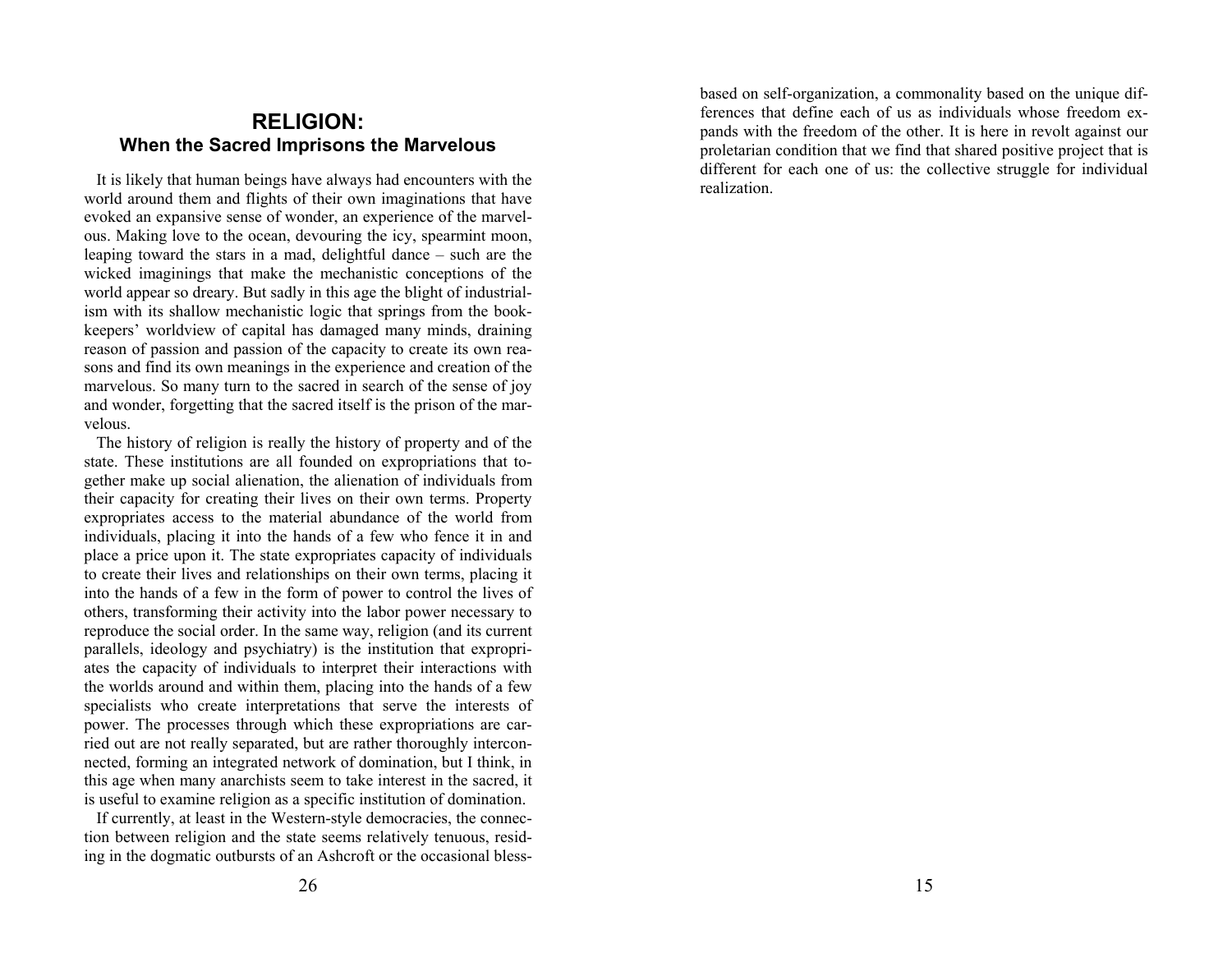### **RELIGION: When the Sacred Imprisons the Marvelous**

 It is likely that human beings have always had encounters with the world around them and flights of their own imaginations that have evoked an expansive sense of wonder, an experience of the marvelous. Making love to the ocean, devouring the icy, spearmint moon, leaping toward the stars in a mad, delightful dance – such are the wicked imaginings that make the mechanistic conceptions of the world appear so dreary. But sadly in this age the blight of industrialism with its shallow mechanistic logic that springs from the bookkeepers' worldview of capital has damaged many minds, draining reason of passion and passion of the capacity to create its own reasons and find its own meanings in the experience and creation of the marvelous. So many turn to the sacred in search of the sense of joy and wonder, forgetting that the sacred itself is the prison of the marvelous.

 The history of religion is really the history of property and of the state. These institutions are all founded on expropriations that together make up social alienation, the alienation of individuals from their capacity for creating their lives on their own terms. Property expropriates access to the material abundance of the world from individuals, placing it into the hands of a few who fence it in and place a price upon it. The state expropriates capacity of individuals to create their lives and relationships on their own terms, placing it into the hands of a few in the form of power to control the lives of others, transforming their activity into the labor power necessary to reproduce the social order. In the same way, religion (and its current parallels, ideology and psychiatry) is the institution that expropriates the capacity of individuals to interpret their interactions with the worlds around and within them, placing into the hands of a few specialists who create interpretations that serve the interests of power. The processes through which these expropriations are carried out are not really separated, but are rather thoroughly interconnected, forming an integrated network of domination, but I think, in this age when many anarchists seem to take interest in the sacred, it is useful to examine religion as a specific institution of domination.

 If currently, at least in the Western-style democracies, the connection between religion and the state seems relatively tenuous, residing in the dogmatic outbursts of an Ashcroft or the occasional bless-

based on self-organization, a commonality based on the unique differences that define each of us as individuals whose freedom expands with the freedom of the other. It is here in revolt against our proletarian condition that we find that shared positive project that is different for each one of us: the collective struggle for individual realization.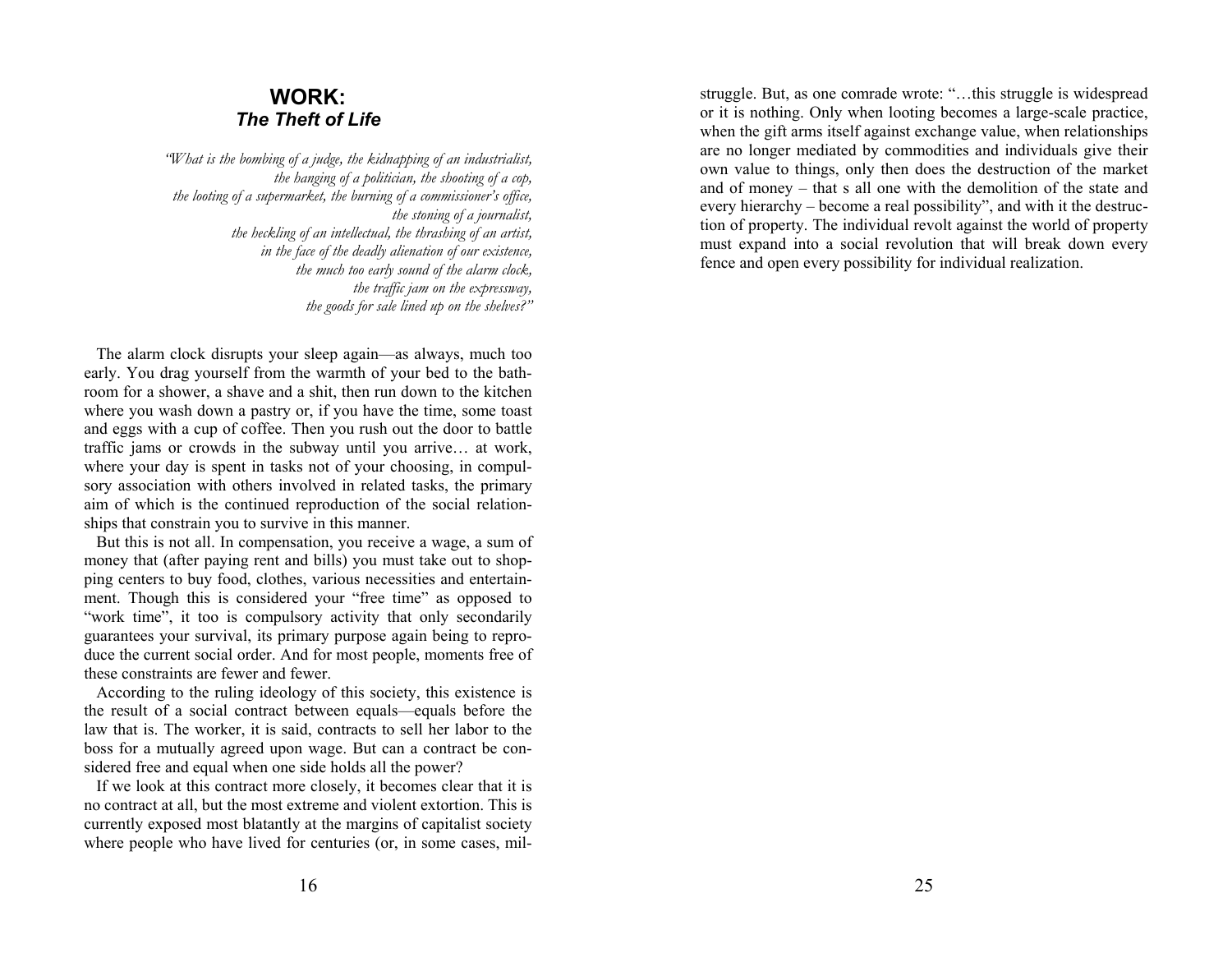#### **WORK:** *The Theft of Life*

*"What is the bombing of a judge, the kidnapping of an industrialist, the hanging of a politician, the shooting of a cop, the looting of a supermarket, the burning of a commissioner's office, the stoning of a journalist, the heckling of an intellectual, the thrashing of an artist, in the face of the deadly alienation of our existence, the much too early sound of the alarm clock, the traffic jam on the expressway, the goods for sale lined up on the shelves?"*

 The alarm clock disrupts your sleep again—as always, much too early. You drag yourself from the warmth of your bed to the bathroom for a shower, a shave and a shit, then run down to the kitchen where you wash down a pastry or, if you have the time, some toast and eggs with a cup of coffee. Then you rush out the door to battle traffic jams or crowds in the subway until you arrive… at work, where your day is spent in tasks not of your choosing, in compulsory association with others involved in related tasks, the primary aim of which is the continued reproduction of the social relationships that constrain you to survive in this manner.

 But this is not all. In compensation, you receive a wage, a sum of money that (after paying rent and bills) you must take out to shopping centers to buy food, clothes, various necessities and entertainment. Though this is considered your "free time" as opposed to "work time", it too is compulsory activity that only secondarily guarantees your survival, its primary purpose again being to reproduce the current social order. And for most people, moments free of these constraints are fewer and fewer.

 According to the ruling ideology of this society, this existence is the result of a social contract between equals—equals before the law that is. The worker, it is said, contracts to sell her labor to the boss for a mutually agreed upon wage. But can a contract be considered free and equal when one side holds all the power?

 If we look at this contract more closely, it becomes clear that it is no contract at all, but the most extreme and violent extortion. This is currently exposed most blatantly at the margins of capitalist society where people who have lived for centuries (or, in some cases, mil-

struggle. But, as one comrade wrote: "…this struggle is widespread or it is nothing. Only when looting becomes a large-scale practice, when the gift arms itself against exchange value, when relationships are no longer mediated by commodities and individuals give their own value to things, only then does the destruction of the market and of money – that s all one with the demolition of the state and every hierarchy – become a real possibility", and with it the destruction of property. The individual revolt against the world of property must expand into a social revolution that will break down every fence and open every possibility for individual realization.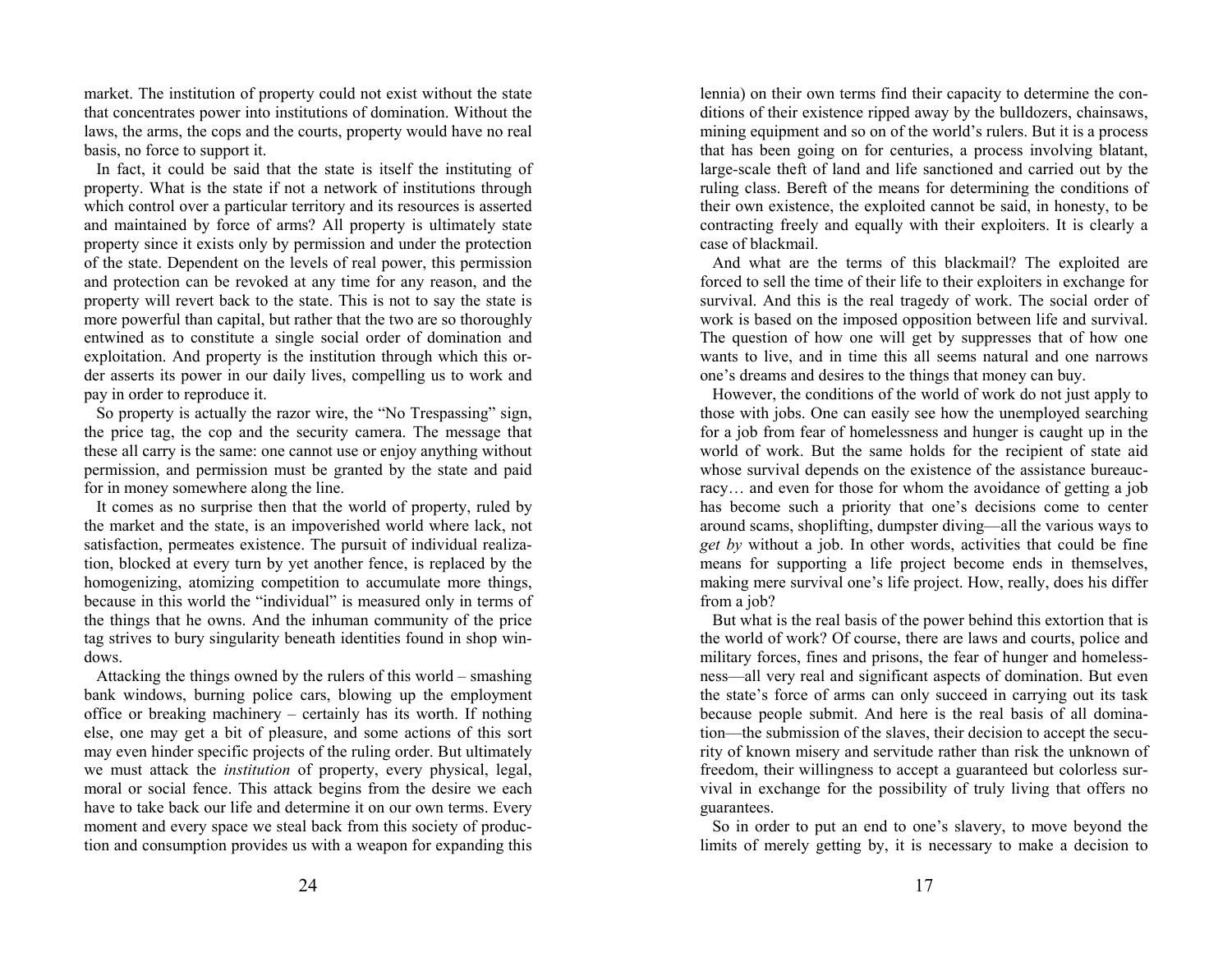market. The institution of property could not exist without the state that concentrates power into institutions of domination. Without the laws, the arms, the cops and the courts, property would have no real basis, no force to support it.

 In fact, it could be said that the state is itself the instituting of property. What is the state if not a network of institutions through which control over a particular territory and its resources is asserted and maintained by force of arms? All property is ultimately state property since it exists only by permission and under the protection of the state. Dependent on the levels of real power, this permission and protection can be revoked at any time for any reason, and the property will revert back to the state. This is not to say the state is more powerful than capital, but rather that the two are so thoroughly entwined as to constitute a single social order of domination and exploitation. And property is the institution through which this order asserts its power in our daily lives, compelling us to work and pay in order to reproduce it.

 So property is actually the razor wire, the "No Trespassing" sign, the price tag, the cop and the security camera. The message that these all carry is the same: one cannot use or enjoy anything without permission, and permission must be granted by the state and paid for in money somewhere along the line.

 It comes as no surprise then that the world of property, ruled by the market and the state, is an impoverished world where lack, not satisfaction, permeates existence. The pursuit of individual realization, blocked at every turn by yet another fence, is replaced by the homogenizing, atomizing competition to accumulate more things, because in this world the "individual" is measured only in terms of the things that he owns. And the inhuman community of the price tag strives to bury singularity beneath identities found in shop windows.

 Attacking the things owned by the rulers of this world – smashing bank windows, burning police cars, blowing up the employment office or breaking machinery – certainly has its worth. If nothing else, one may get a bit of pleasure, and some actions of this sort may even hinder specific projects of the ruling order. But ultimately we must attack the *institution* of property, every physical, legal, moral or social fence. This attack begins from the desire we each have to take back our life and determine it on our own terms. Every moment and every space we steal back from this society of production and consumption provides us with a weapon for expanding this

lennia) on their own terms find their capacity to determine the conditions of their existence ripped away by the bulldozers, chainsaws, mining equipment and so on of the world's rulers. But it is a process that has been going on for centuries, a process involving blatant, large-scale theft of land and life sanctioned and carried out by the ruling class. Bereft of the means for determining the conditions of their own existence, the exploited cannot be said, in honesty, to be contracting freely and equally with their exploiters. It is clearly a case of blackmail.

 And what are the terms of this blackmail? The exploited are forced to sell the time of their life to their exploiters in exchange for survival. And this is the real tragedy of work. The social order of work is based on the imposed opposition between life and survival. The question of how one will get by suppresses that of how one wants to live, and in time this all seems natural and one narrows one's dreams and desires to the things that money can buy.

 However, the conditions of the world of work do not just apply to those with jobs. One can easily see how the unemployed searching for a job from fear of homelessness and hunger is caught up in the world of work. But the same holds for the recipient of state aid whose survival depends on the existence of the assistance bureaucracy… and even for those for whom the avoidance of getting a job has become such a priority that one's decisions come to center around scams, shoplifting, dumpster diving—all the various ways to *get by without a job.* In other words, activities that could be fine means for supporting a life project become ends in themselves, making mere survival one's life project. How, really, does his differ from a job?

 But what is the real basis of the power behind this extortion that is the world of work? Of course, there are laws and courts, police and military forces, fines and prisons, the fear of hunger and homelessness—all very real and significant aspects of domination. But even the state's force of arms can only succeed in carrying out its task because people submit. And here is the real basis of all domination—the submission of the slaves, their decision to accept the security of known misery and servitude rather than risk the unknown of freedom, their willingness to accept a guaranteed but colorless survival in exchange for the possibility of truly living that offers no guarantees.

 So in order to put an end to one's slavery, to move beyond the limits of merely getting by, it is necessary to make a decision to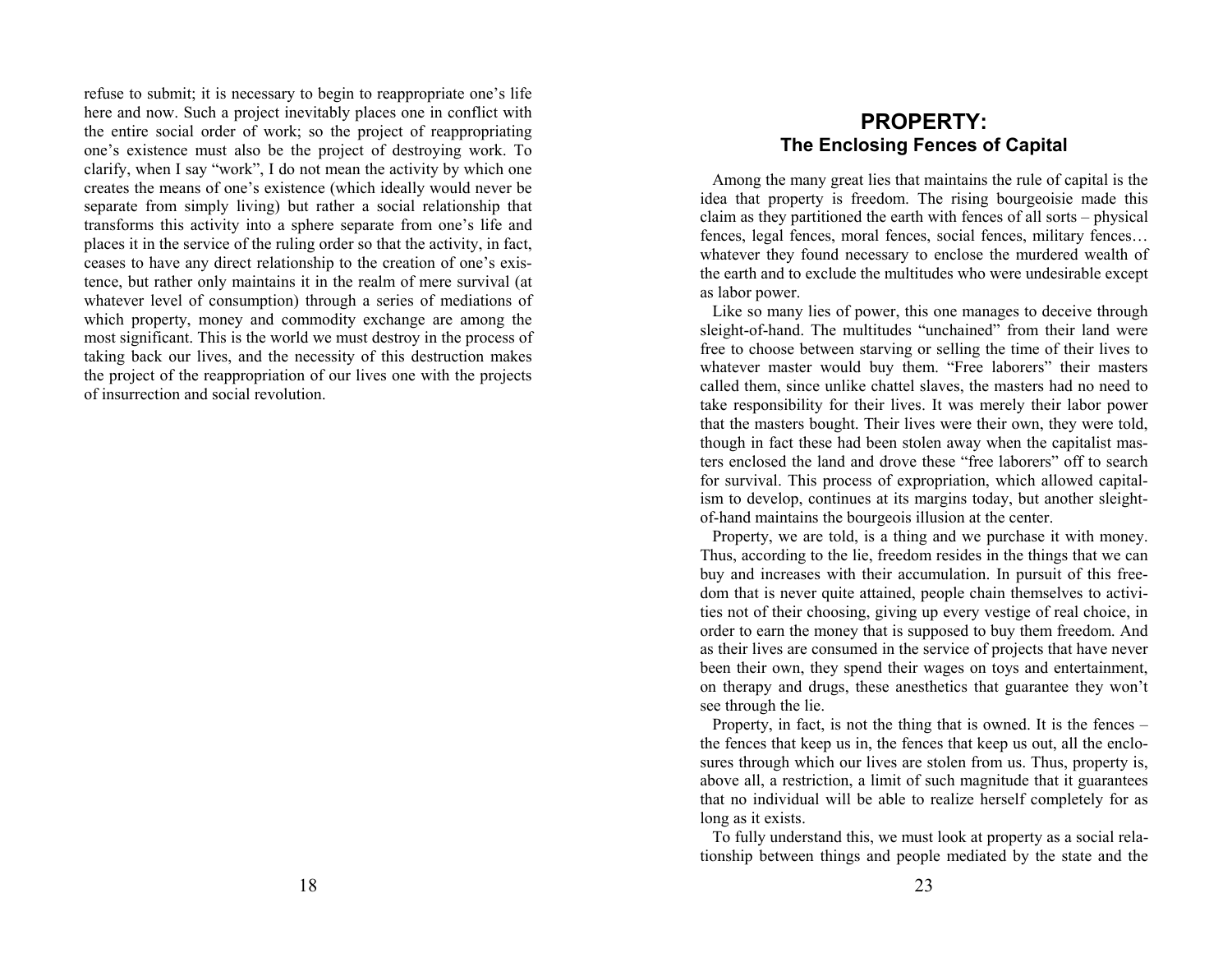refuse to submit; it is necessary to begin to reappropriate one's life here and now. Such a project inevitably places one in conflict with the entire social order of work; so the project of reappropriating one's existence must also be the project of destroying work. To clarify, when I say "work", I do not mean the activity by which one creates the means of one's existence (which ideally would never be separate from simply living) but rather a social relationship that transforms this activity into a sphere separate from one's life and places it in the service of the ruling order so that the activity, in fact, ceases to have any direct relationship to the creation of one's existence, but rather only maintains it in the realm of mere survival (at whatever level of consumption) through a series of mediations of which property, money and commodity exchange are among the most significant. This is the world we must destroy in the process of taking back our lives, and the necessity of this destruction makes the project of the reappropriation of our lives one with the projects of insurrection and social revolution.

### **PROPERTY: The Enclosing Fences of Capital**

 Among the many great lies that maintains the rule of capital is the idea that property is freedom. The rising bourgeoisie made this claim as they partitioned the earth with fences of all sorts – physical fences, legal fences, moral fences, social fences, military fences… whatever they found necessary to enclose the murdered wealth of the earth and to exclude the multitudes who were undesirable except as labor power.

 Like so many lies of power, this one manages to deceive through sleight-of-hand. The multitudes "unchained" from their land were free to choose between starving or selling the time of their lives to whatever master would buy them. "Free laborers" their masters called them, since unlike chattel slaves, the masters had no need to take responsibility for their lives. It was merely their labor power that the masters bought. Their lives were their own, they were told, though in fact these had been stolen away when the capitalist masters enclosed the land and drove these "free laborers" off to search for survival. This process of expropriation, which allowed capitalism to develop, continues at its margins today, but another sleightof-hand maintains the bourgeois illusion at the center.

 Property, we are told, is a thing and we purchase it with money. Thus, according to the lie, freedom resides in the things that we can buy and increases with their accumulation. In pursuit of this freedom that is never quite attained, people chain themselves to activities not of their choosing, giving up every vestige of real choice, in order to earn the money that is supposed to buy them freedom. And as their lives are consumed in the service of projects that have never been their own, they spend their wages on toys and entertainment, on therapy and drugs, these anesthetics that guarantee they won't see through the lie.

 Property, in fact, is not the thing that is owned. It is the fences – the fences that keep us in, the fences that keep us out, all the enclosures through which our lives are stolen from us. Thus, property is, above all, a restriction, a limit of such magnitude that it guarantees that no individual will be able to realize herself completely for as long as it exists.

 To fully understand this, we must look at property as a social relationship between things and people mediated by the state and the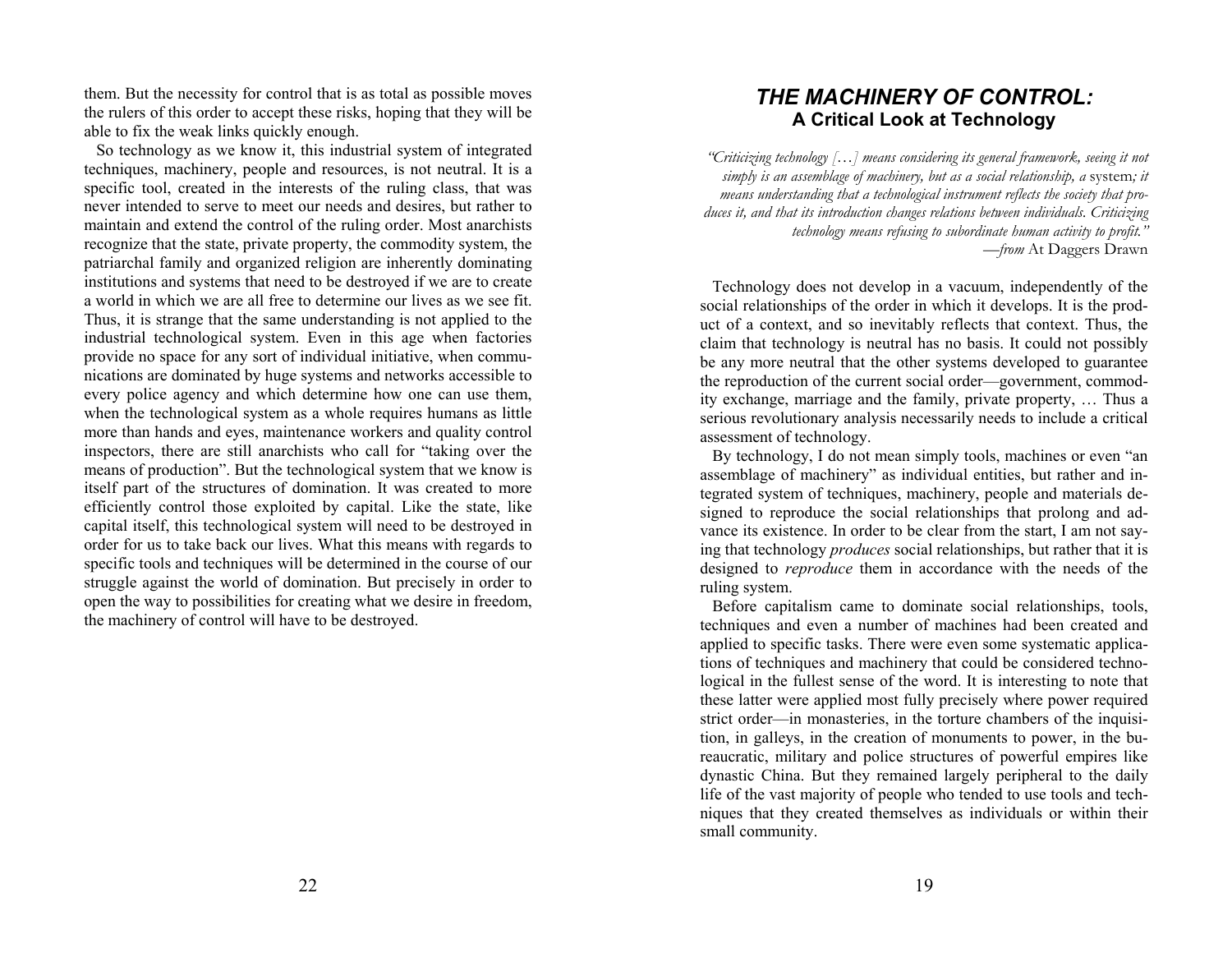them. But the necessity for control that is as total as possible moves the rulers of this order to accept these risks, hoping that they will be able to fix the weak links quickly enough.

 So technology as we know it, this industrial system of integrated techniques, machinery, people and resources, is not neutral. It is a specific tool, created in the interests of the ruling class, that was never intended to serve to meet our needs and desires, but rather to maintain and extend the control of the ruling order. Most anarchists recognize that the state, private property, the commodity system, the patriarchal family and organized religion are inherently dominating institutions and systems that need to be destroyed if we are to create a world in which we are all free to determine our lives as we see fit. Thus, it is strange that the same understanding is not applied to the industrial technological system. Even in this age when factories provide no space for any sort of individual initiative, when communications are dominated by huge systems and networks accessible to every police agency and which determine how one can use them, when the technological system as a whole requires humans as little more than hands and eyes, maintenance workers and quality control inspectors, there are still anarchists who call for "taking over the means of production". But the technological system that we know is itself part of the structures of domination. It was created to more efficiently control those exploited by capital. Like the state, like capital itself, this technological system will need to be destroyed in order for us to take back our lives. What this means with regards to specific tools and techniques will be determined in the course of our struggle against the world of domination. But precisely in order to open the way to possibilities for creating what we desire in freedom, the machinery of control will have to be destroyed.

## *THE MACHINERY OF CONTROL:* **A Critical Look at Technology**

*"Criticizing technology […] means considering its general framework, seeing it not simply is an assemblage of machinery, but as a social relationship, a* system*; it means understanding that a technological instrument reflects the society that produces it, and that its introduction changes relations between individuals. Criticizing technology means refusing to subordinate human activity to profit." —from* At Daggers Drawn

 Technology does not develop in a vacuum, independently of the social relationships of the order in which it develops. It is the product of a context, and so inevitably reflects that context. Thus, the claim that technology is neutral has no basis. It could not possibly be any more neutral that the other systems developed to guarantee the reproduction of the current social order—government, commodity exchange, marriage and the family, private property, … Thus a serious revolutionary analysis necessarily needs to include a critical assessment of technology.

 By technology, I do not mean simply tools, machines or even "an assemblage of machinery" as individual entities, but rather and integrated system of techniques, machinery, people and materials designed to reproduce the social relationships that prolong and advance its existence. In order to be clear from the start, I am not saying that technology *produces* social relationships, but rather that it is designed to *reproduce* them in accordance with the needs of the ruling system.

 Before capitalism came to dominate social relationships, tools, techniques and even a number of machines had been created and applied to specific tasks. There were even some systematic applications of techniques and machinery that could be considered technological in the fullest sense of the word. It is interesting to note that these latter were applied most fully precisely where power required strict order—in monasteries, in the torture chambers of the inquisition, in galleys, in the creation of monuments to power, in the bureaucratic, military and police structures of powerful empires like dynastic China. But they remained largely peripheral to the daily life of the vast majority of people who tended to use tools and techniques that they created themselves as individuals or within their small community.